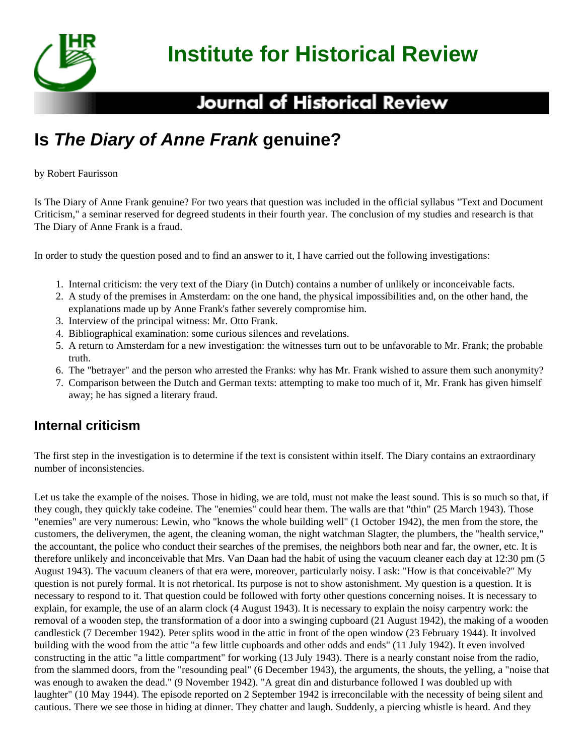

# **Journal of Historical Review**

# **Is The Diary of Anne Frank genuine?**

by Robert Faurisson

Is The Diary of Anne Frank genuine? For two years that question was included in the official syllabus "Text and Document Criticism," a seminar reserved for degreed students in their fourth year. The conclusion of my studies and research is that The Diary of Anne Frank is a fraud.

In order to study the question posed and to find an answer to it, I have carried out the following investigations:

- 1. Internal criticism: the very text of the Diary (in Dutch) contains a number of unlikely or inconceivable facts.
- 2. A study of the premises in Amsterdam: on the one hand, the physical impossibilities and, on the other hand, the explanations made up by Anne Frank's father severely compromise him.
- 3. Interview of the principal witness: Mr. Otto Frank.
- 4. Bibliographical examination: some curious silences and revelations.
- 5. A return to Amsterdam for a new investigation: the witnesses turn out to be unfavorable to Mr. Frank; the probable truth.
- 6. The "betrayer" and the person who arrested the Franks: why has Mr. Frank wished to assure them such anonymity?
- 7. Comparison between the Dutch and German texts: attempting to make too much of it, Mr. Frank has given himself away; he has signed a literary fraud.

### **Internal criticism**

The first step in the investigation is to determine if the text is consistent within itself. The Diary contains an extraordinary number of inconsistencies.

Let us take the example of the noises. Those in hiding, we are told, must not make the least sound. This is so much so that, if they cough, they quickly take codeine. The "enemies" could hear them. The walls are that "thin" (25 March 1943). Those "enemies" are very numerous: Lewin, who "knows the whole building well" (1 October 1942), the men from the store, the customers, the deliverymen, the agent, the cleaning woman, the night watchman Slagter, the plumbers, the "health service," the accountant, the police who conduct their searches of the premises, the neighbors both near and far, the owner, etc. It is therefore unlikely and inconceivable that Mrs. Van Daan had the habit of using the vacuum cleaner each day at 12:30 pm (5 August 1943). The vacuum cleaners of that era were, moreover, particularly noisy. I ask: "How is that conceivable?" My question is not purely formal. It is not rhetorical. Its purpose is not to show astonishment. My question is a question. It is necessary to respond to it. That question could be followed with forty other questions concerning noises. It is necessary to explain, for example, the use of an alarm clock (4 August 1943). It is necessary to explain the noisy carpentry work: the removal of a wooden step, the transformation of a door into a swinging cupboard (21 August 1942), the making of a wooden candlestick (7 December 1942). Peter splits wood in the attic in front of the open window (23 February 1944). It involved building with the wood from the attic "a few little cupboards and other odds and ends" (11 July 1942). It even involved constructing in the attic "a little compartment" for working (13 July 1943). There is a nearly constant noise from the radio, from the slammed doors, from the "resounding peal" (6 December 1943), the arguments, the shouts, the yelling, a "noise that was enough to awaken the dead." (9 November 1942). "A great din and disturbance followed I was doubled up with laughter" (10 May 1944). The episode reported on 2 September 1942 is irreconcilable with the necessity of being silent and cautious. There we see those in hiding at dinner. They chatter and laugh. Suddenly, a piercing whistle is heard. And they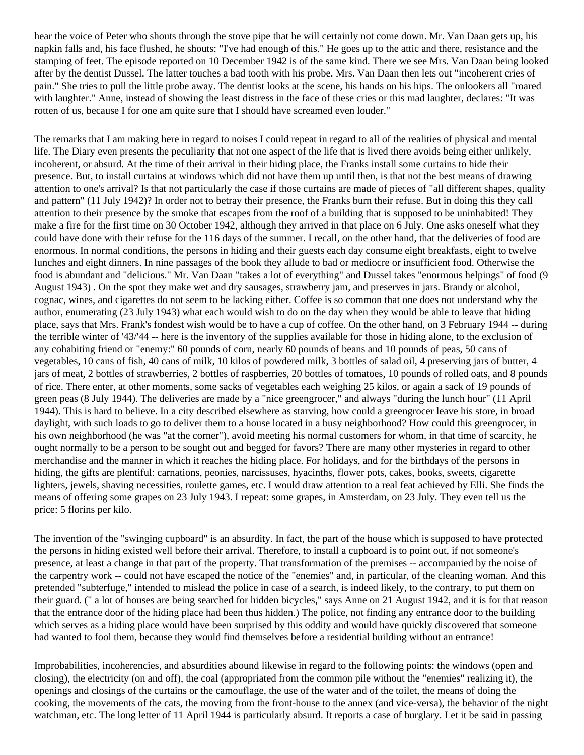hear the voice of Peter who shouts through the stove pipe that he will certainly not come down. Mr. Van Daan gets up, his napkin falls and, his face flushed, he shouts: "I've had enough of this." He goes up to the attic and there, resistance and the stamping of feet. The episode reported on 10 December 1942 is of the same kind. There we see Mrs. Van Daan being looked after by the dentist Dussel. The latter touches a bad tooth with his probe. Mrs. Van Daan then lets out "incoherent cries of pain." She tries to pull the little probe away. The dentist looks at the scene, his hands on his hips. The onlookers all "roared with laughter." Anne, instead of showing the least distress in the face of these cries or this mad laughter, declares: "It was rotten of us, because I for one am quite sure that I should have screamed even louder."

The remarks that I am making here in regard to noises I could repeat in regard to all of the realities of physical and mental life. The Diary even presents the peculiarity that not one aspect of the life that is lived there avoids being either unlikely, incoherent, or absurd. At the time of their arrival in their hiding place, the Franks install some curtains to hide their presence. But, to install curtains at windows which did not have them up until then, is that not the best means of drawing attention to one's arrival? Is that not particularly the case if those curtains are made of pieces of "all different shapes, quality and pattern" (11 July 1942)? In order not to betray their presence, the Franks burn their refuse. But in doing this they call attention to their presence by the smoke that escapes from the roof of a building that is supposed to be uninhabited! They make a fire for the first time on 30 October 1942, although they arrived in that place on 6 July. One asks oneself what they could have done with their refuse for the 116 days of the summer. I recall, on the other hand, that the deliveries of food are enormous. In normal conditions, the persons in hiding and their guests each day consume eight breakfasts, eight to twelve lunches and eight dinners. In nine passages of the book they allude to bad or mediocre or insufficient food. Otherwise the food is abundant and "delicious." Mr. Van Daan "takes a lot of everything" and Dussel takes "enormous helpings" of food (9 August 1943) . On the spot they make wet and dry sausages, strawberry jam, and preserves in jars. Brandy or alcohol, cognac, wines, and cigarettes do not seem to be lacking either. Coffee is so common that one does not understand why the author, enumerating (23 July 1943) what each would wish to do on the day when they would be able to leave that hiding place, says that Mrs. Frank's fondest wish would be to have a cup of coffee. On the other hand, on 3 February 1944 -- during the terrible winter of '43/'44 -- here is the inventory of the supplies available for those in hiding alone, to the exclusion of any cohabiting friend or "enemy:" 60 pounds of corn, nearly 60 pounds of beans and 10 pounds of peas, 50 cans of vegetables, 10 cans of fish, 40 cans of milk, 10 kilos of powdered milk, 3 bottles of salad oil, 4 preserving jars of butter, 4 jars of meat, 2 bottles of strawberries, 2 bottles of raspberries, 20 bottles of tomatoes, 10 pounds of rolled oats, and 8 pounds of rice. There enter, at other moments, some sacks of vegetables each weighing 25 kilos, or again a sack of 19 pounds of green peas (8 July 1944). The deliveries are made by a "nice greengrocer," and always "during the lunch hour" (11 April 1944). This is hard to believe. In a city described elsewhere as starving, how could a greengrocer leave his store, in broad daylight, with such loads to go to deliver them to a house located in a busy neighborhood? How could this greengrocer, in his own neighborhood (he was "at the corner"), avoid meeting his normal customers for whom, in that time of scarcity, he ought normally to be a person to be sought out and begged for favors? There are many other mysteries in regard to other merchandise and the manner in which it reaches the hiding place. For holidays, and for the birthdays of the persons in hiding, the gifts are plentiful: carnations, peonies, narcissuses, hyacinths, flower pots, cakes, books, sweets, cigarette lighters, jewels, shaving necessities, roulette games, etc. I would draw attention to a real feat achieved by Elli. She finds the means of offering some grapes on 23 July 1943. I repeat: some grapes, in Amsterdam, on 23 July. They even tell us the price: 5 florins per kilo.

The invention of the "swinging cupboard" is an absurdity. In fact, the part of the house which is supposed to have protected the persons in hiding existed well before their arrival. Therefore, to install a cupboard is to point out, if not someone's presence, at least a change in that part of the property. That transformation of the premises -- accompanied by the noise of the carpentry work -- could not have escaped the notice of the "enemies" and, in particular, of the cleaning woman. And this pretended "subterfuge," intended to mislead the police in case of a search, is indeed likely, to the contrary, to put them on their guard. (" a lot of houses are being searched for hidden bicycles," says Anne on 21 August 1942, and it is for that reason that the entrance door of the hiding place had been thus hidden.) The police, not finding any entrance door to the building which serves as a hiding place would have been surprised by this oddity and would have quickly discovered that someone had wanted to fool them, because they would find themselves before a residential building without an entrance!

Improbabilities, incoherencies, and absurdities abound likewise in regard to the following points: the windows (open and closing), the electricity (on and off), the coal (appropriated from the common pile without the "enemies" realizing it), the openings and closings of the curtains or the camouflage, the use of the water and of the toilet, the means of doing the cooking, the movements of the cats, the moving from the front-house to the annex (and vice-versa), the behavior of the night watchman, etc. The long letter of 11 April 1944 is particularly absurd. It reports a case of burglary. Let it be said in passing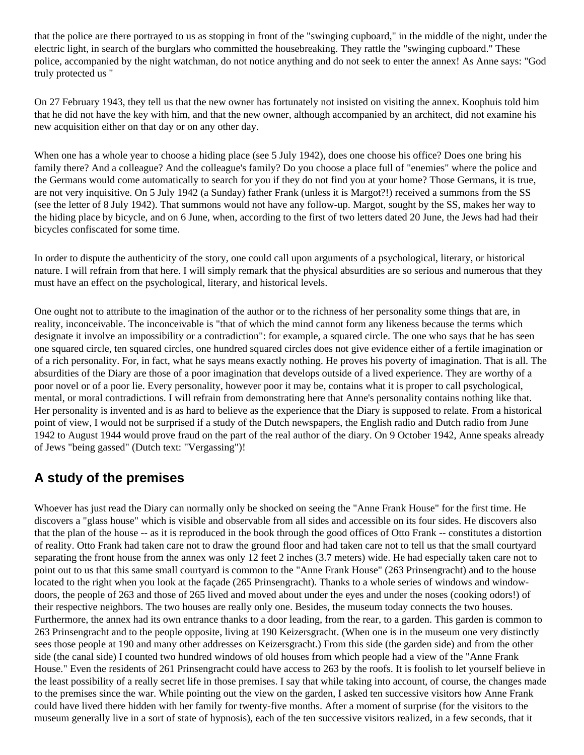that the police are there portrayed to us as stopping in front of the "swinging cupboard," in the middle of the night, under the electric light, in search of the burglars who committed the housebreaking. They rattle the "swinging cupboard." These police, accompanied by the night watchman, do not notice anything and do not seek to enter the annex! As Anne says: "God truly protected us "

On 27 February 1943, they tell us that the new owner has fortunately not insisted on visiting the annex. Koophuis told him that he did not have the key with him, and that the new owner, although accompanied by an architect, did not examine his new acquisition either on that day or on any other day.

When one has a whole year to choose a hiding place (see 5 July 1942), does one choose his office? Does one bring his family there? And a colleague? And the colleague's family? Do you choose a place full of "enemies" where the police and the Germans would come automatically to search for you if they do not find you at your home? Those Germans, it is true, are not very inquisitive. On 5 July 1942 (a Sunday) father Frank (unless it is Margot?!) received a summons from the SS (see the letter of 8 July 1942). That summons would not have any follow-up. Margot, sought by the SS, makes her way to the hiding place by bicycle, and on 6 June, when, according to the first of two letters dated 20 June, the Jews had had their bicycles confiscated for some time.

In order to dispute the authenticity of the story, one could call upon arguments of a psychological, literary, or historical nature. I will refrain from that here. I will simply remark that the physical absurdities are so serious and numerous that they must have an effect on the psychological, literary, and historical levels.

One ought not to attribute to the imagination of the author or to the richness of her personality some things that are, in reality, inconceivable. The inconceivable is "that of which the mind cannot form any likeness because the terms which designate it involve an impossibility or a contradiction": for example, a squared circle. The one who says that he has seen one squared circle, ten squared circles, one hundred squared circles does not give evidence either of a fertile imagination or of a rich personality. For, in fact, what he says means exactly nothing. He proves his poverty of imagination. That is all. The absurdities of the Diary are those of a poor imagination that develops outside of a lived experience. They are worthy of a poor novel or of a poor lie. Every personality, however poor it may be, contains what it is proper to call psychological, mental, or moral contradictions. I will refrain from demonstrating here that Anne's personality contains nothing like that. Her personality is invented and is as hard to believe as the experience that the Diary is supposed to relate. From a historical point of view, I would not be surprised if a study of the Dutch newspapers, the English radio and Dutch radio from June 1942 to August 1944 would prove fraud on the part of the real author of the diary. On 9 October 1942, Anne speaks already of Jews "being gassed" (Dutch text: "Vergassing")!

# **A study of the premises**

Whoever has just read the Diary can normally only be shocked on seeing the "Anne Frank House" for the first time. He discovers a "glass house" which is visible and observable from all sides and accessible on its four sides. He discovers also that the plan of the house -- as it is reproduced in the book through the good offices of Otto Frank -- constitutes a distortion of reality. Otto Frank had taken care not to draw the ground floor and had taken care not to tell us that the small courtyard separating the front house from the annex was only 12 feet 2 inches (3.7 meters) wide. He had especially taken care not to point out to us that this same small courtyard is common to the "Anne Frank House" (263 Prinsengracht) and to the house located to the right when you look at the façade (265 Prinsengracht). Thanks to a whole series of windows and windowdoors, the people of 263 and those of 265 lived and moved about under the eyes and under the noses (cooking odors!) of their respective neighbors. The two houses are really only one. Besides, the museum today connects the two houses. Furthermore, the annex had its own entrance thanks to a door leading, from the rear, to a garden. This garden is common to 263 Prinsengracht and to the people opposite, living at 190 Keizersgracht. (When one is in the museum one very distinctly sees those people at 190 and many other addresses on Keizersgracht.) From this side (the garden side) and from the other side (the canal side) I counted two hundred windows of old houses from which people had a view of the "Anne Frank House." Even the residents of 261 Prinsengracht could have access to 263 by the roofs. It is foolish to let yourself believe in the least possibility of a really secret life in those premises. I say that while taking into account, of course, the changes made to the premises since the war. While pointing out the view on the garden, I asked ten successive visitors how Anne Frank could have lived there hidden with her family for twenty-five months. After a moment of surprise (for the visitors to the museum generally live in a sort of state of hypnosis), each of the ten successive visitors realized, in a few seconds, that it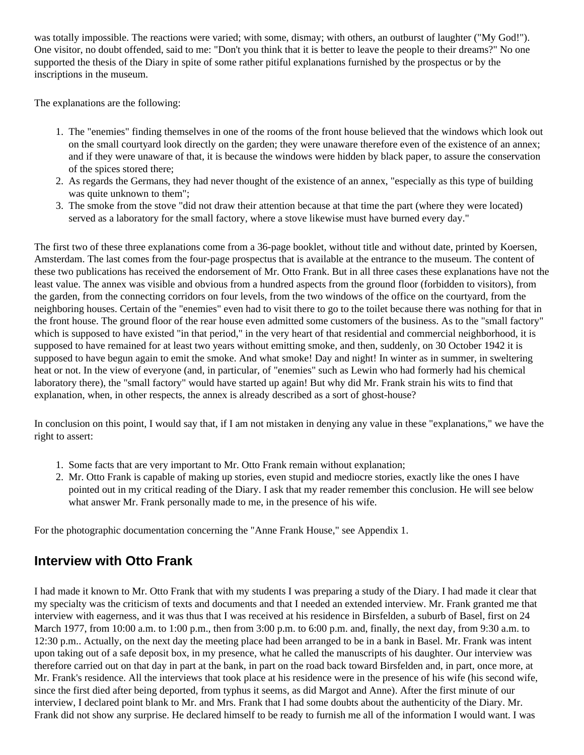was totally impossible. The reactions were varied; with some, dismay; with others, an outburst of laughter ("My God!"). One visitor, no doubt offended, said to me: "Don't you think that it is better to leave the people to their dreams?" No one supported the thesis of the Diary in spite of some rather pitiful explanations furnished by the prospectus or by the inscriptions in the museum.

The explanations are the following:

- 1. The "enemies" finding themselves in one of the rooms of the front house believed that the windows which look out on the small courtyard look directly on the garden; they were unaware therefore even of the existence of an annex; and if they were unaware of that, it is because the windows were hidden by black paper, to assure the conservation of the spices stored there;
- 2. As regards the Germans, they had never thought of the existence of an annex, "especially as this type of building was quite unknown to them";
- 3. The smoke from the stove "did not draw their attention because at that time the part (where they were located) served as a laboratory for the small factory, where a stove likewise must have burned every day."

The first two of these three explanations come from a 36-page booklet, without title and without date, printed by Koersen, Amsterdam. The last comes from the four-page prospectus that is available at the entrance to the museum. The content of these two publications has received the endorsement of Mr. Otto Frank. But in all three cases these explanations have not the least value. The annex was visible and obvious from a hundred aspects from the ground floor (forbidden to visitors), from the garden, from the connecting corridors on four levels, from the two windows of the office on the courtyard, from the neighboring houses. Certain of the "enemies" even had to visit there to go to the toilet because there was nothing for that in the front house. The ground floor of the rear house even admitted some customers of the business. As to the "small factory" which is supposed to have existed "in that period," in the very heart of that residential and commercial neighborhood, it is supposed to have remained for at least two years without emitting smoke, and then, suddenly, on 30 October 1942 it is supposed to have begun again to emit the smoke. And what smoke! Day and night! In winter as in summer, in sweltering heat or not. In the view of everyone (and, in particular, of "enemies" such as Lewin who had formerly had his chemical laboratory there), the "small factory" would have started up again! But why did Mr. Frank strain his wits to find that explanation, when, in other respects, the annex is already described as a sort of ghost-house?

In conclusion on this point, I would say that, if I am not mistaken in denying any value in these "explanations," we have the right to assert:

- 1. Some facts that are very important to Mr. Otto Frank remain without explanation;
- 2. Mr. Otto Frank is capable of making up stories, even stupid and mediocre stories, exactly like the ones I have pointed out in my critical reading of the Diary. I ask that my reader remember this conclusion. He will see below what answer Mr. Frank personally made to me, in the presence of his wife.

For the photographic documentation concerning the "Anne Frank House," see Appendix 1.

### **Interview with Otto Frank**

I had made it known to Mr. Otto Frank that with my students I was preparing a study of the Diary. I had made it clear that my specialty was the criticism of texts and documents and that I needed an extended interview. Mr. Frank granted me that interview with eagerness, and it was thus that I was received at his residence in Birsfelden, a suburb of Basel, first on 24 March 1977, from 10:00 a.m. to 1:00 p.m., then from 3:00 p.m. to 6:00 p.m. and, finally, the next day, from 9:30 a.m. to 12:30 p.m.. Actually, on the next day the meeting place had been arranged to be in a bank in Basel. Mr. Frank was intent upon taking out of a safe deposit box, in my presence, what he called the manuscripts of his daughter. Our interview was therefore carried out on that day in part at the bank, in part on the road back toward Birsfelden and, in part, once more, at Mr. Frank's residence. All the interviews that took place at his residence were in the presence of his wife (his second wife, since the first died after being deported, from typhus it seems, as did Margot and Anne). After the first minute of our interview, I declared point blank to Mr. and Mrs. Frank that I had some doubts about the authenticity of the Diary. Mr. Frank did not show any surprise. He declared himself to be ready to furnish me all of the information I would want. I was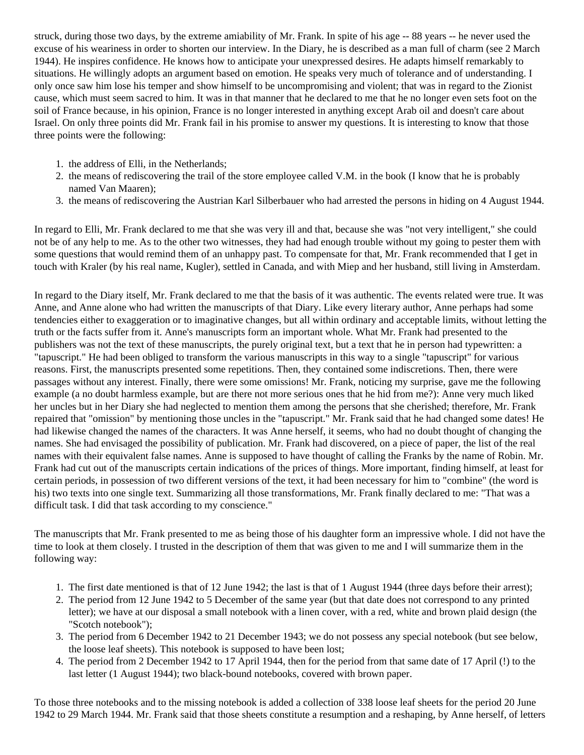struck, during those two days, by the extreme amiability of Mr. Frank. In spite of his age -- 88 years -- he never used the excuse of his weariness in order to shorten our interview. In the Diary, he is described as a man full of charm (see 2 March 1944). He inspires confidence. He knows how to anticipate your unexpressed desires. He adapts himself remarkably to situations. He willingly adopts an argument based on emotion. He speaks very much of tolerance and of understanding. I only once saw him lose his temper and show himself to be uncompromising and violent; that was in regard to the Zionist cause, which must seem sacred to him. It was in that manner that he declared to me that he no longer even sets foot on the soil of France because, in his opinion, France is no longer interested in anything except Arab oil and doesn't care about Israel. On only three points did Mr. Frank fail in his promise to answer my questions. It is interesting to know that those three points were the following:

- 1. the address of Elli, in the Netherlands;
- 2. the means of rediscovering the trail of the store employee called V.M. in the book (I know that he is probably named Van Maaren);
- 3. the means of rediscovering the Austrian Karl Silberbauer who had arrested the persons in hiding on 4 August 1944.

In regard to Elli, Mr. Frank declared to me that she was very ill and that, because she was "not very intelligent," she could not be of any help to me. As to the other two witnesses, they had had enough trouble without my going to pester them with some questions that would remind them of an unhappy past. To compensate for that, Mr. Frank recommended that I get in touch with Kraler (by his real name, Kugler), settled in Canada, and with Miep and her husband, still living in Amsterdam.

In regard to the Diary itself, Mr. Frank declared to me that the basis of it was authentic. The events related were true. It was Anne, and Anne alone who had written the manuscripts of that Diary. Like every literary author, Anne perhaps had some tendencies either to exaggeration or to imaginative changes, but all within ordinary and acceptable limits, without letting the truth or the facts suffer from it. Anne's manuscripts form an important whole. What Mr. Frank had presented to the publishers was not the text of these manuscripts, the purely original text, but a text that he in person had typewritten: a "tapuscript." He had been obliged to transform the various manuscripts in this way to a single "tapuscript" for various reasons. First, the manuscripts presented some repetitions. Then, they contained some indiscretions. Then, there were passages without any interest. Finally, there were some omissions! Mr. Frank, noticing my surprise, gave me the following example (a no doubt harmless example, but are there not more serious ones that he hid from me?): Anne very much liked her uncles but in her Diary she had neglected to mention them among the persons that she cherished; therefore, Mr. Frank repaired that "omission" by mentioning those uncles in the "tapuscript." Mr. Frank said that he had changed some dates! He had likewise changed the names of the characters. It was Anne herself, it seems, who had no doubt thought of changing the names. She had envisaged the possibility of publication. Mr. Frank had discovered, on a piece of paper, the list of the real names with their equivalent false names. Anne is supposed to have thought of calling the Franks by the name of Robin. Mr. Frank had cut out of the manuscripts certain indications of the prices of things. More important, finding himself, at least for certain periods, in possession of two different versions of the text, it had been necessary for him to "combine" (the word is his) two texts into one single text. Summarizing all those transformations, Mr. Frank finally declared to me: "That was a difficult task. I did that task according to my conscience."

The manuscripts that Mr. Frank presented to me as being those of his daughter form an impressive whole. I did not have the time to look at them closely. I trusted in the description of them that was given to me and I will summarize them in the following way:

- 1. The first date mentioned is that of 12 June 1942; the last is that of 1 August 1944 (three days before their arrest);
- 2. The period from 12 June 1942 to 5 December of the same year (but that date does not correspond to any printed letter); we have at our disposal a small notebook with a linen cover, with a red, white and brown plaid design (the "Scotch notebook");
- 3. The period from 6 December 1942 to 21 December 1943; we do not possess any special notebook (but see below, the loose leaf sheets). This notebook is supposed to have been lost;
- 4. The period from 2 December 1942 to 17 April 1944, then for the period from that same date of 17 April (!) to the last letter (1 August 1944); two black-bound notebooks, covered with brown paper.

To those three notebooks and to the missing notebook is added a collection of 338 loose leaf sheets for the period 20 June 1942 to 29 March 1944. Mr. Frank said that those sheets constitute a resumption and a reshaping, by Anne herself, of letters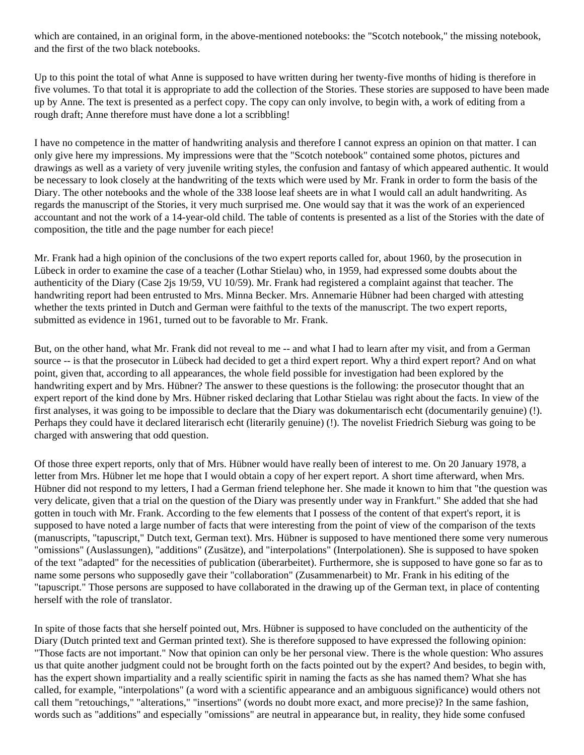which are contained, in an original form, in the above-mentioned notebooks: the "Scotch notebook," the missing notebook, and the first of the two black notebooks.

Up to this point the total of what Anne is supposed to have written during her twenty-five months of hiding is therefore in five volumes. To that total it is appropriate to add the collection of the Stories. These stories are supposed to have been made up by Anne. The text is presented as a perfect copy. The copy can only involve, to begin with, a work of editing from a rough draft; Anne therefore must have done a lot a scribbling!

I have no competence in the matter of handwriting analysis and therefore I cannot express an opinion on that matter. I can only give here my impressions. My impressions were that the "Scotch notebook" contained some photos, pictures and drawings as well as a variety of very juvenile writing styles, the confusion and fantasy of which appeared authentic. It would be necessary to look closely at the handwriting of the texts which were used by Mr. Frank in order to form the basis of the Diary. The other notebooks and the whole of the 338 loose leaf sheets are in what I would call an adult handwriting. As regards the manuscript of the Stories, it very much surprised me. One would say that it was the work of an experienced accountant and not the work of a 14-year-old child. The table of contents is presented as a list of the Stories with the date of composition, the title and the page number for each piece!

Mr. Frank had a high opinion of the conclusions of the two expert reports called for, about 1960, by the prosecution in Lübeck in order to examine the case of a teacher (Lothar Stielau) who, in 1959, had expressed some doubts about the authenticity of the Diary (Case 2js 19/59, VU 10/59). Mr. Frank had registered a complaint against that teacher. The handwriting report had been entrusted to Mrs. Minna Becker. Mrs. Annemarie Hübner had been charged with attesting whether the texts printed in Dutch and German were faithful to the texts of the manuscript. The two expert reports, submitted as evidence in 1961, turned out to be favorable to Mr. Frank.

But, on the other hand, what Mr. Frank did not reveal to me -- and what I had to learn after my visit, and from a German source -- is that the prosecutor in Lübeck had decided to get a third expert report. Why a third expert report? And on what point, given that, according to all appearances, the whole field possible for investigation had been explored by the handwriting expert and by Mrs. Hübner? The answer to these questions is the following: the prosecutor thought that an expert report of the kind done by Mrs. Hübner risked declaring that Lothar Stielau was right about the facts. In view of the first analyses, it was going to be impossible to declare that the Diary was dokumentarisch echt (documentarily genuine) (!). Perhaps they could have it declared literarisch echt (literarily genuine) (!). The novelist Friedrich Sieburg was going to be charged with answering that odd question.

Of those three expert reports, only that of Mrs. Hübner would have really been of interest to me. On 20 January 1978, a letter from Mrs. Hübner let me hope that I would obtain a copy of her expert report. A short time afterward, when Mrs. Hübner did not respond to my letters, I had a German friend telephone her. She made it known to him that "the question was very delicate, given that a trial on the question of the Diary was presently under way in Frankfurt." She added that she had gotten in touch with Mr. Frank. According to the few elements that I possess of the content of that expert's report, it is supposed to have noted a large number of facts that were interesting from the point of view of the comparison of the texts (manuscripts, "tapuscript," Dutch text, German text). Mrs. Hübner is supposed to have mentioned there some very numerous "omissions" (Auslassungen), "additions" (Zusätze), and "interpolations" (Interpolationen). She is supposed to have spoken of the text "adapted" for the necessities of publication (überarbeitet). Furthermore, she is supposed to have gone so far as to name some persons who supposedly gave their "collaboration" (Zusammenarbeit) to Mr. Frank in his editing of the "tapuscript." Those persons are supposed to have collaborated in the drawing up of the German text, in place of contenting herself with the role of translator.

In spite of those facts that she herself pointed out, Mrs. Hübner is supposed to have concluded on the authenticity of the Diary (Dutch printed text and German printed text). She is therefore supposed to have expressed the following opinion: "Those facts are not important." Now that opinion can only be her personal view. There is the whole question: Who assures us that quite another judgment could not be brought forth on the facts pointed out by the expert? And besides, to begin with, has the expert shown impartiality and a really scientific spirit in naming the facts as she has named them? What she has called, for example, "interpolations" (a word with a scientific appearance and an ambiguous significance) would others not call them "retouchings," "alterations," "insertions" (words no doubt more exact, and more precise)? In the same fashion, words such as "additions" and especially "omissions" are neutral in appearance but, in reality, they hide some confused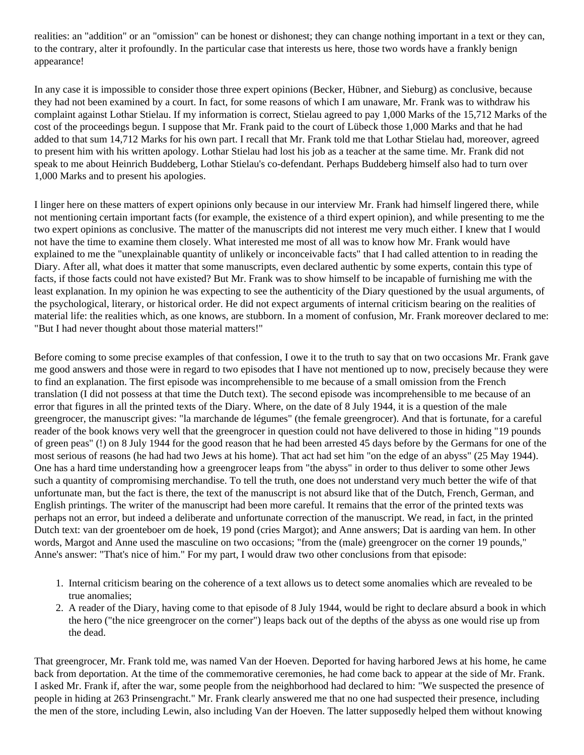realities: an "addition" or an "omission" can be honest or dishonest; they can change nothing important in a text or they can, to the contrary, alter it profoundly. In the particular case that interests us here, those two words have a frankly benign appearance!

In any case it is impossible to consider those three expert opinions (Becker, Hübner, and Sieburg) as conclusive, because they had not been examined by a court. In fact, for some reasons of which I am unaware, Mr. Frank was to withdraw his complaint against Lothar Stielau. If my information is correct, Stielau agreed to pay 1,000 Marks of the 15,712 Marks of the cost of the proceedings begun. I suppose that Mr. Frank paid to the court of Lübeck those 1,000 Marks and that he had added to that sum 14,712 Marks for his own part. I recall that Mr. Frank told me that Lothar Stielau had, moreover, agreed to present him with his written apology. Lothar Stielau had lost his job as a teacher at the same time. Mr. Frank did not speak to me about Heinrich Buddeberg, Lothar Stielau's co-defendant. Perhaps Buddeberg himself also had to turn over 1,000 Marks and to present his apologies.

I linger here on these matters of expert opinions only because in our interview Mr. Frank had himself lingered there, while not mentioning certain important facts (for example, the existence of a third expert opinion), and while presenting to me the two expert opinions as conclusive. The matter of the manuscripts did not interest me very much either. I knew that I would not have the time to examine them closely. What interested me most of all was to know how Mr. Frank would have explained to me the "unexplainable quantity of unlikely or inconceivable facts" that I had called attention to in reading the Diary. After all, what does it matter that some manuscripts, even declared authentic by some experts, contain this type of facts, if those facts could not have existed? But Mr. Frank was to show himself to be incapable of furnishing me with the least explanation. In my opinion he was expecting to see the authenticity of the Diary questioned by the usual arguments, of the psychological, literary, or historical order. He did not expect arguments of internal criticism bearing on the realities of material life: the realities which, as one knows, are stubborn. In a moment of confusion, Mr. Frank moreover declared to me: "But I had never thought about those material matters!"

Before coming to some precise examples of that confession, I owe it to the truth to say that on two occasions Mr. Frank gave me good answers and those were in regard to two episodes that I have not mentioned up to now, precisely because they were to find an explanation. The first episode was incomprehensible to me because of a small omission from the French translation (I did not possess at that time the Dutch text). The second episode was incomprehensible to me because of an error that figures in all the printed texts of the Diary. Where, on the date of 8 July 1944, it is a question of the male greengrocer, the manuscript gives: "la marchande de légumes" (the female greengrocer). And that is fortunate, for a careful reader of the book knows very well that the greengrocer in question could not have delivered to those in hiding "19 pounds of green peas" (!) on 8 July 1944 for the good reason that he had been arrested 45 days before by the Germans for one of the most serious of reasons (he had had two Jews at his home). That act had set him "on the edge of an abyss" (25 May 1944). One has a hard time understanding how a greengrocer leaps from "the abyss" in order to thus deliver to some other Jews such a quantity of compromising merchandise. To tell the truth, one does not understand very much better the wife of that unfortunate man, but the fact is there, the text of the manuscript is not absurd like that of the Dutch, French, German, and English printings. The writer of the manuscript had been more careful. It remains that the error of the printed texts was perhaps not an error, but indeed a deliberate and unfortunate correction of the manuscript. We read, in fact, in the printed Dutch text: van der groenteboer om de hoek, 19 pond (cries Margot); and Anne answers; Dat is aarding van hem. In other words, Margot and Anne used the masculine on two occasions; "from the (male) greengrocer on the corner 19 pounds," Anne's answer: "That's nice of him." For my part, I would draw two other conclusions from that episode:

- 1. Internal criticism bearing on the coherence of a text allows us to detect some anomalies which are revealed to be true anomalies;
- 2. A reader of the Diary, having come to that episode of 8 July 1944, would be right to declare absurd a book in which the hero ("the nice greengrocer on the corner") leaps back out of the depths of the abyss as one would rise up from the dead.

That greengrocer, Mr. Frank told me, was named Van der Hoeven. Deported for having harbored Jews at his home, he came back from deportation. At the time of the commemorative ceremonies, he had come back to appear at the side of Mr. Frank. I asked Mr. Frank if, after the war, some people from the neighborhood had declared to him: "We suspected the presence of people in hiding at 263 Prinsengracht." Mr. Frank clearly answered me that no one had suspected their presence, including the men of the store, including Lewin, also including Van der Hoeven. The latter supposedly helped them without knowing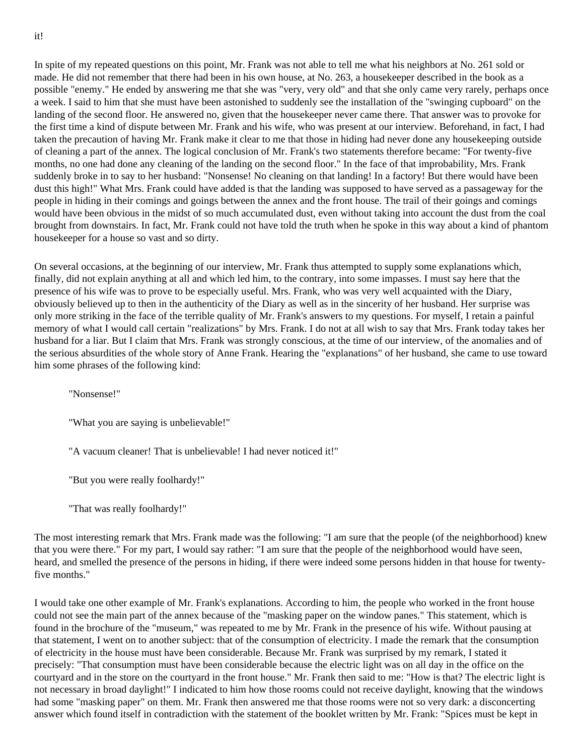In spite of my repeated questions on this point, Mr. Frank was not able to tell me what his neighbors at No. 261 sold or made. He did not remember that there had been in his own house, at No. 263, a housekeeper described in the book as a possible "enemy." He ended by answering me that she was "very, very old" and that she only came very rarely, perhaps once a week. I said to him that she must have been astonished to suddenly see the installation of the "swinging cupboard" on the landing of the second floor. He answered no, given that the housekeeper never came there. That answer was to provoke for the first time a kind of dispute between Mr. Frank and his wife, who was present at our interview. Beforehand, in fact, I had taken the precaution of having Mr. Frank make it clear to me that those in hiding had never done any housekeeping outside of cleaning a part of the annex. The logical conclusion of Mr. Frank's two statements therefore became: "For twenty-five months, no one had done any cleaning of the landing on the second floor." In the face of that improbability, Mrs. Frank suddenly broke in to say to her husband: "Nonsense! No cleaning on that landing! In a factory! But there would have been dust this high!" What Mrs. Frank could have added is that the landing was supposed to have served as a passageway for the people in hiding in their comings and goings between the annex and the front house. The trail of their goings and comings would have been obvious in the midst of so much accumulated dust, even without taking into account the dust from the coal brought from downstairs. In fact, Mr. Frank could not have told the truth when he spoke in this way about a kind of phantom housekeeper for a house so vast and so dirty.

On several occasions, at the beginning of our interview, Mr. Frank thus attempted to supply some explanations which, finally, did not explain anything at all and which led him, to the contrary, into some impasses. I must say here that the presence of his wife was to prove to be especially useful. Mrs. Frank, who was very well acquainted with the Diary, obviously believed up to then in the authenticity of the Diary as well as in the sincerity of her husband. Her surprise was only more striking in the face of the terrible quality of Mr. Frank's answers to my questions. For myself, I retain a painful memory of what I would call certain "realizations" by Mrs. Frank. I do not at all wish to say that Mrs. Frank today takes her husband for a liar. But I claim that Mrs. Frank was strongly conscious, at the time of our interview, of the anomalies and of the serious absurdities of the whole story of Anne Frank. Hearing the "explanations" of her husband, she came to use toward him some phrases of the following kind:

"Nonsense!"

"What you are saying is unbelievable!"

"A vacuum cleaner! That is unbelievable! I had never noticed it!"

"But you were really foolhardy!"

"That was really foolhardy!"

The most interesting remark that Mrs. Frank made was the following: "I am sure that the people (of the neighborhood) knew that you were there." For my part, I would say rather: "I am sure that the people of the neighborhood would have seen, heard, and smelled the presence of the persons in hiding, if there were indeed some persons hidden in that house for twentyfive months."

I would take one other example of Mr. Frank's explanations. According to him, the people who worked in the front house could not see the main part of the annex because of the "masking paper on the window panes." This statement, which is found in the brochure of the "museum," was repeated to me by Mr. Frank in the presence of his wife. Without pausing at that statement, I went on to another subject: that of the consumption of electricity. I made the remark that the consumption of electricity in the house must have been considerable. Because Mr. Frank was surprised by my remark, I stated it precisely: "That consumption must have been considerable because the electric light was on all day in the office on the courtyard and in the store on the courtyard in the front house." Mr. Frank then said to me: "How is that? The electric light is not necessary in broad daylight!" I indicated to him how those rooms could not receive daylight, knowing that the windows had some "masking paper" on them. Mr. Frank then answered me that those rooms were not so very dark: a disconcerting answer which found itself in contradiction with the statement of the booklet written by Mr. Frank: "Spices must be kept in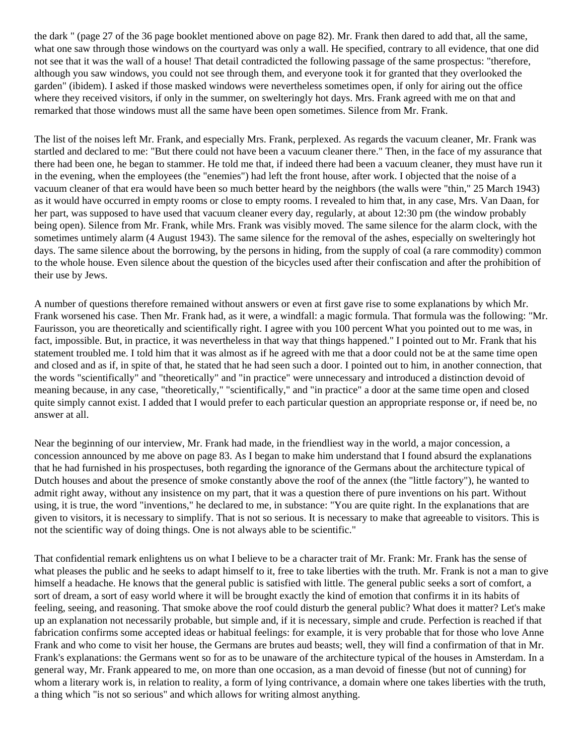the dark " (page 27 of the 36 page booklet mentioned above on page 82). Mr. Frank then dared to add that, all the same, what one saw through those windows on the courtyard was only a wall. He specified, contrary to all evidence, that one did not see that it was the wall of a house! That detail contradicted the following passage of the same prospectus: "therefore, although you saw windows, you could not see through them, and everyone took it for granted that they overlooked the garden" (ibidem). I asked if those masked windows were nevertheless sometimes open, if only for airing out the office where they received visitors, if only in the summer, on swelteringly hot days. Mrs. Frank agreed with me on that and remarked that those windows must all the same have been open sometimes. Silence from Mr. Frank.

The list of the noises left Mr. Frank, and especially Mrs. Frank, perplexed. As regards the vacuum cleaner, Mr. Frank was startled and declared to me: "But there could not have been a vacuum cleaner there." Then, in the face of my assurance that there had been one, he began to stammer. He told me that, if indeed there had been a vacuum cleaner, they must have run it in the evening, when the employees (the "enemies") had left the front house, after work. I objected that the noise of a vacuum cleaner of that era would have been so much better heard by the neighbors (the walls were "thin," 25 March 1943) as it would have occurred in empty rooms or close to empty rooms. I revealed to him that, in any case, Mrs. Van Daan, for her part, was supposed to have used that vacuum cleaner every day, regularly, at about 12:30 pm (the window probably being open). Silence from Mr. Frank, while Mrs. Frank was visibly moved. The same silence for the alarm clock, with the sometimes untimely alarm (4 August 1943). The same silence for the removal of the ashes, especially on swelteringly hot days. The same silence about the borrowing, by the persons in hiding, from the supply of coal (a rare commodity) common to the whole house. Even silence about the question of the bicycles used after their confiscation and after the prohibition of their use by Jews.

A number of questions therefore remained without answers or even at first gave rise to some explanations by which Mr. Frank worsened his case. Then Mr. Frank had, as it were, a windfall: a magic formula. That formula was the following: "Mr. Faurisson, you are theoretically and scientifically right. I agree with you 100 percent What you pointed out to me was, in fact, impossible. But, in practice, it was nevertheless in that way that things happened." I pointed out to Mr. Frank that his statement troubled me. I told him that it was almost as if he agreed with me that a door could not be at the same time open and closed and as if, in spite of that, he stated that he had seen such a door. I pointed out to him, in another connection, that the words "scientifically" and "theoretically" and "in practice" were unnecessary and introduced a distinction devoid of meaning because, in any case, "theoretically," "scientifically," and "in practice" a door at the same time open and closed quite simply cannot exist. I added that I would prefer to each particular question an appropriate response or, if need be, no answer at all.

Near the beginning of our interview, Mr. Frank had made, in the friendliest way in the world, a major concession, a concession announced by me above on page 83. As I began to make him understand that I found absurd the explanations that he had furnished in his prospectuses, both regarding the ignorance of the Germans about the architecture typical of Dutch houses and about the presence of smoke constantly above the roof of the annex (the "little factory"), he wanted to admit right away, without any insistence on my part, that it was a question there of pure inventions on his part. Without using, it is true, the word "inventions," he declared to me, in substance: "You are quite right. In the explanations that are given to visitors, it is necessary to simplify. That is not so serious. It is necessary to make that agreeable to visitors. This is not the scientific way of doing things. One is not always able to be scientific."

That confidential remark enlightens us on what I believe to be a character trait of Mr. Frank: Mr. Frank has the sense of what pleases the public and he seeks to adapt himself to it, free to take liberties with the truth. Mr. Frank is not a man to give himself a headache. He knows that the general public is satisfied with little. The general public seeks a sort of comfort, a sort of dream, a sort of easy world where it will be brought exactly the kind of emotion that confirms it in its habits of feeling, seeing, and reasoning. That smoke above the roof could disturb the general public? What does it matter? Let's make up an explanation not necessarily probable, but simple and, if it is necessary, simple and crude. Perfection is reached if that fabrication confirms some accepted ideas or habitual feelings: for example, it is very probable that for those who love Anne Frank and who come to visit her house, the Germans are brutes aud beasts; well, they will find a confirmation of that in Mr. Frank's explanations: the Germans went so for as to be unaware of the architecture typical of the houses in Amsterdam. In a general way, Mr. Frank appeared to me, on more than one occasion, as a man devoid of finesse (but not of cunning) for whom a literary work is, in relation to reality, a form of lying contrivance, a domain where one takes liberties with the truth, a thing which "is not so serious" and which allows for writing almost anything.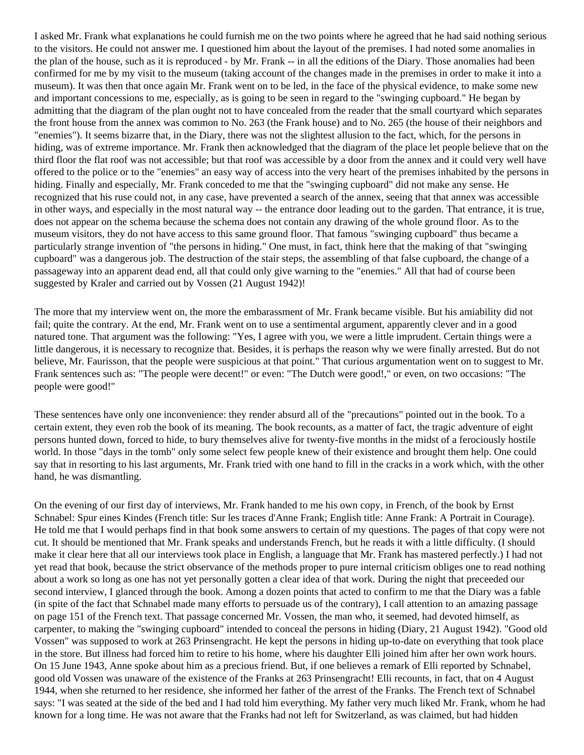I asked Mr. Frank what explanations he could furnish me on the two points where he agreed that he had said nothing serious to the visitors. He could not answer me. I questioned him about the layout of the premises. I had noted some anomalies in the plan of the house, such as it is reproduced - by Mr. Frank -- in all the editions of the Diary. Those anomalies had been confirmed for me by my visit to the museum (taking account of the changes made in the premises in order to make it into a museum). It was then that once again Mr. Frank went on to be led, in the face of the physical evidence, to make some new and important concessions to me, especially, as is going to be seen in regard to the "swinging cupboard." He began by admitting that the diagram of the plan ought not to have concealed from the reader that the small courtyard which separates the front house from the annex was common to No. 263 (the Frank house) and to No. 265 (the house of their neighbors and "enemies"). It seems bizarre that, in the Diary, there was not the slightest allusion to the fact, which, for the persons in hiding, was of extreme importance. Mr. Frank then acknowledged that the diagram of the place let people believe that on the third floor the flat roof was not accessible; but that roof was accessible by a door from the annex and it could very well have offered to the police or to the "enemies" an easy way of access into the very heart of the premises inhabited by the persons in hiding. Finally and especially, Mr. Frank conceded to me that the "swinging cupboard" did not make any sense. He recognized that his ruse could not, in any case, have prevented a search of the annex, seeing that that annex was accessible in other ways, and especially in the most natural way -- the entrance door leading out to the garden. That entrance, it is true, does not appear on the schema because the schema does not contain any drawing of the whole ground floor. As to the museum visitors, they do not have access to this same ground floor. That famous "swinging cupboard" thus became a particularly strange invention of "the persons in hiding." One must, in fact, think here that the making of that "swinging cupboard" was a dangerous job. The destruction of the stair steps, the assembling of that false cupboard, the change of a passageway into an apparent dead end, all that could only give warning to the "enemies." All that had of course been suggested by Kraler and carried out by Vossen (21 August 1942)!

The more that my interview went on, the more the embarassment of Mr. Frank became visible. But his amiability did not fail; quite the contrary. At the end, Mr. Frank went on to use a sentimental argument, apparently clever and in a good natured tone. That argument was the following: "Yes, I agree with you, we were a little imprudent. Certain things were a little dangerous, it is necessary to recognize that. Besides, it is perhaps the reason why we were finally arrested. But do not believe, Mr. Faurisson, that the people were suspicious at that point." That curious argumentation went on to suggest to Mr. Frank sentences such as: "The people were decent!" or even: "The Dutch were good!," or even, on two occasions: "The people were good!"

These sentences have only one inconvenience: they render absurd all of the "precautions" pointed out in the book. To a certain extent, they even rob the book of its meaning. The book recounts, as a matter of fact, the tragic adventure of eight persons hunted down, forced to hide, to bury themselves alive for twenty-five months in the midst of a ferociously hostile world. In those "days in the tomb" only some select few people knew of their existence and brought them help. One could say that in resorting to his last arguments, Mr. Frank tried with one hand to fill in the cracks in a work which, with the other hand, he was dismantling.

On the evening of our first day of interviews, Mr. Frank handed to me his own copy, in French, of the book by Ernst Schnabel: Spur eines Kindes (French title: Sur les traces d'Anne Frank; English title: Anne Frank: A Portrait in Courage). He told me that I would perhaps find in that book some answers to certain of my questions. The pages of that copy were not cut. It should be mentioned that Mr. Frank speaks and understands French, but he reads it with a little difficulty. (I should make it clear here that all our interviews took place in English, a language that Mr. Frank has mastered perfectly.) I had not yet read that book, because the strict observance of the methods proper to pure internal criticism obliges one to read nothing about a work so long as one has not yet personally gotten a clear idea of that work. During the night that preceeded our second interview, I glanced through the book. Among a dozen points that acted to confirm to me that the Diary was a fable (in spite of the fact that Schnabel made many efforts to persuade us of the contrary), I call attention to an amazing passage on page 151 of the French text. That passage concerned Mr. Vossen, the man who, it seemed, had devoted himself, as carpenter, to making the "swinging cupboard" intended to conceal the persons in hiding (Diary, 21 August 1942). "Good old Vossen" was supposed to work at 263 Prinsengracht. He kept the persons in hiding up-to-date on everything that took place in the store. But illness had forced him to retire to his home, where his daughter Elli joined him after her own work hours. On 15 June 1943, Anne spoke about him as a precious friend. But, if one believes a remark of Elli reported by Schnabel, good old Vossen was unaware of the existence of the Franks at 263 Prinsengracht! Elli recounts, in fact, that on 4 August 1944, when she returned to her residence, she informed her father of the arrest of the Franks. The French text of Schnabel says: "I was seated at the side of the bed and I had told him everything. My father very much liked Mr. Frank, whom he had known for a long time. He was not aware that the Franks had not left for Switzerland, as was claimed, but had hidden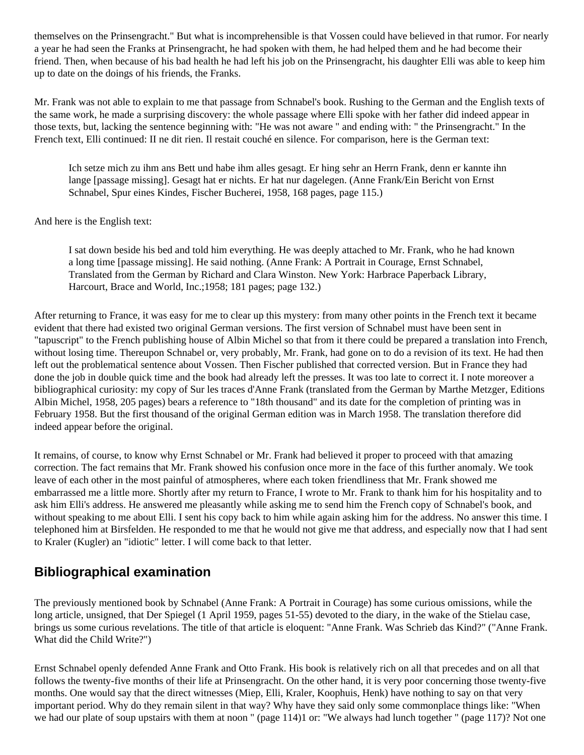themselves on the Prinsengracht." But what is incomprehensible is that Vossen could have believed in that rumor. For nearly a year he had seen the Franks at Prinsengracht, he had spoken with them, he had helped them and he had become their friend. Then, when because of his bad health he had left his job on the Prinsengracht, his daughter Elli was able to keep him up to date on the doings of his friends, the Franks.

Mr. Frank was not able to explain to me that passage from Schnabel's book. Rushing to the German and the English texts of the same work, he made a surprising discovery: the whole passage where Elli spoke with her father did indeed appear in those texts, but, lacking the sentence beginning with: "He was not aware " and ending with: " the Prinsengracht." In the French text, Elli continued: II ne dit rien. Il restait couché en silence. For comparison, here is the German text:

Ich setze mich zu ihm ans Bett und habe ihm alles gesagt. Er hing sehr an Herrn Frank, denn er kannte ihn lange [passage missing]. Gesagt hat er nichts. Er hat nur dagelegen. (Anne Frank/Ein Bericht von Ernst Schnabel, Spur eines Kindes, Fischer Bucherei, 1958, 168 pages, page 115.)

And here is the English text:

I sat down beside his bed and told him everything. He was deeply attached to Mr. Frank, who he had known a long time [passage missing]. He said nothing. (Anne Frank: A Portrait in Courage, Ernst Schnabel, Translated from the German by Richard and Clara Winston. New York: Harbrace Paperback Library, Harcourt, Brace and World, Inc.;1958; 181 pages; page 132.)

After returning to France, it was easy for me to clear up this mystery: from many other points in the French text it became evident that there had existed two original German versions. The first version of Schnabel must have been sent in "tapuscript" to the French publishing house of Albin Michel so that from it there could be prepared a translation into French, without losing time. Thereupon Schnabel or, very probably, Mr. Frank, had gone on to do a revision of its text. He had then left out the problematical sentence about Vossen. Then Fischer published that corrected version. But in France they had done the job in double quick time and the book had already left the presses. It was too late to correct it. I note moreover a bibliographical curiosity: my copy of Sur les traces d'Anne Frank (translated from the German by Marthe Metzger, Editions Albin Michel, 1958, 205 pages) bears a reference to "18th thousand" and its date for the completion of printing was in February 1958. But the first thousand of the original German edition was in March 1958. The translation therefore did indeed appear before the original.

It remains, of course, to know why Ernst Schnabel or Mr. Frank had believed it proper to proceed with that amazing correction. The fact remains that Mr. Frank showed his confusion once more in the face of this further anomaly. We took leave of each other in the most painful of atmospheres, where each token friendliness that Mr. Frank showed me embarrassed me a little more. Shortly after my return to France, I wrote to Mr. Frank to thank him for his hospitality and to ask him Elli's address. He answered me pleasantly while asking me to send him the French copy of Schnabel's book, and without speaking to me about Elli. I sent his copy back to him while again asking him for the address. No answer this time. I telephoned him at Birsfelden. He responded to me that he would not give me that address, and especially now that I had sent to Kraler (Kugler) an "idiotic" letter. I will come back to that letter.

### **Bibliographical examination**

The previously mentioned book by Schnabel (Anne Frank: A Portrait in Courage) has some curious omissions, while the long article, unsigned, that Der Spiegel (1 April 1959, pages 51-55) devoted to the diary, in the wake of the Stielau case, brings us some curious revelations. The title of that article is eloquent: "Anne Frank. Was Schrieb das Kind?" ("Anne Frank. What did the Child Write?")

Ernst Schnabel openly defended Anne Frank and Otto Frank. His book is relatively rich on all that precedes and on all that follows the twenty-five months of their life at Prinsengracht. On the other hand, it is very poor concerning those twenty-five months. One would say that the direct witnesses (Miep, Elli, Kraler, Koophuis, Henk) have nothing to say on that very important period. Why do they remain silent in that way? Why have they said only some commonplace things like: "When we had our plate of soup upstairs with them at noon " (page 114)1 or: "We always had lunch together " (page 117)? Not one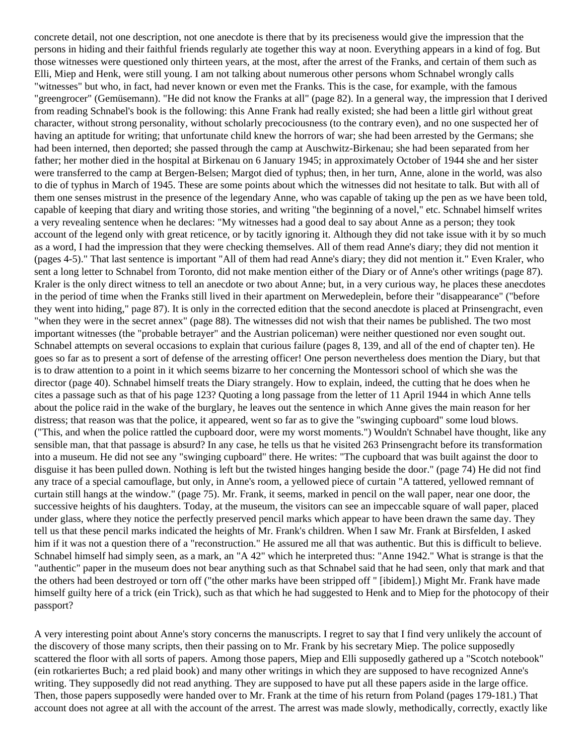concrete detail, not one description, not one anecdote is there that by its preciseness would give the impression that the persons in hiding and their faithful friends regularly ate together this way at noon. Everything appears in a kind of fog. But those witnesses were questioned only thirteen years, at the most, after the arrest of the Franks, and certain of them such as Elli, Miep and Henk, were still young. I am not talking about numerous other persons whom Schnabel wrongly calls "witnesses" but who, in fact, had never known or even met the Franks. This is the case, for example, with the famous "greengrocer" (Gemüsemann). "He did not know the Franks at all" (page 82). In a general way, the impression that I derived from reading Schnabel's book is the following: this Anne Frank had really existed; she had been a little girl without great character, without strong personality, without scholarly precociousness (to the contrary even), and no one suspected her of having an aptitude for writing; that unfortunate child knew the horrors of war; she had been arrested by the Germans; she had been interned, then deported; she passed through the camp at Auschwitz-Birkenau; she had been separated from her father; her mother died in the hospital at Birkenau on 6 January 1945; in approximately October of 1944 she and her sister were transferred to the camp at Bergen-Belsen; Margot died of typhus; then, in her turn, Anne, alone in the world, was also to die of typhus in March of 1945. These are some points about which the witnesses did not hesitate to talk. But with all of them one senses mistrust in the presence of the legendary Anne, who was capable of taking up the pen as we have been told, capable of keeping that diary and writing those stories, and writing "the beginning of a novel," etc. Schnabel himself writes a very revealing sentence when he declares: "My witnesses had a good deal to say about Anne as a person; they took account of the legend only with great reticence, or by tacitly ignoring it. Although they did not take issue with it by so much as a word, I had the impression that they were checking themselves. All of them read Anne's diary; they did not mention it (pages 4-5)." That last sentence is important "All of them had read Anne's diary; they did not mention it." Even Kraler, who sent a long letter to Schnabel from Toronto, did not make mention either of the Diary or of Anne's other writings (page 87). Kraler is the only direct witness to tell an anecdote or two about Anne; but, in a very curious way, he places these anecdotes in the period of time when the Franks still lived in their apartment on Merwedeplein, before their "disappearance" ("before they went into hiding," page 87). It is only in the corrected edition that the second anecdote is placed at Prinsengracht, even "when they were in the secret annex" (page 88). The witnesses did not wish that their names be published. The two most important witnesses (the "probable betrayer" and the Austrian policeman) were neither questioned nor even sought out. Schnabel attempts on several occasions to explain that curious failure (pages 8, 139, and all of the end of chapter ten). He goes so far as to present a sort of defense of the arresting officer! One person nevertheless does mention the Diary, but that is to draw attention to a point in it which seems bizarre to her concerning the Montessori school of which she was the director (page 40). Schnabel himself treats the Diary strangely. How to explain, indeed, the cutting that he does when he cites a passage such as that of his page 123? Quoting a long passage from the letter of 11 April 1944 in which Anne tells about the police raid in the wake of the burglary, he leaves out the sentence in which Anne gives the main reason for her distress; that reason was that the police, it appeared, went so far as to give the "swinging cupboard" some loud blows. ("This, and when the police rattled the cupboard door, were my worst moments.") Wouldn't Schnabel have thought, like any sensible man, that that passage is absurd? In any case, he tells us that he visited 263 Prinsengracht before its transformation into a museum. He did not see any "swinging cupboard" there. He writes: "The cupboard that was built against the door to disguise it has been pulled down. Nothing is left but the twisted hinges hanging beside the door." (page 74) He did not find any trace of a special camouflage, but only, in Anne's room, a yellowed piece of curtain "A tattered, yellowed remnant of curtain still hangs at the window." (page 75). Mr. Frank, it seems, marked in pencil on the wall paper, near one door, the successive heights of his daughters. Today, at the museum, the visitors can see an impeccable square of wall paper, placed under glass, where they notice the perfectly preserved pencil marks which appear to have been drawn the same day. They tell us that these pencil marks indicated the heights of Mr. Frank's children. When I saw Mr. Frank at Birsfelden, I asked him if it was not a question there of a "reconstruction." He assured me all that was authentic. But this is difficult to believe. Schnabel himself had simply seen, as a mark, an "A 42" which he interpreted thus: "Anne 1942." What is strange is that the "authentic" paper in the museum does not bear anything such as that Schnabel said that he had seen, only that mark and that the others had been destroyed or torn off ("the other marks have been stripped off " [ibidem].) Might Mr. Frank have made himself guilty here of a trick (ein Trick), such as that which he had suggested to Henk and to Miep for the photocopy of their passport?

A very interesting point about Anne's story concerns the manuscripts. I regret to say that I find very unlikely the account of the discovery of those many scripts, then their passing on to Mr. Frank by his secretary Miep. The police supposedly scattered the floor with all sorts of papers. Among those papers, Miep and Elli supposedly gathered up a "Scotch notebook" (ein rotkariertes Buch; a red plaid book) and many other writings in which they are supposed to have recognized Anne's writing. They supposedly did not read anything. They are supposed to have put all these papers aside in the large office. Then, those papers supposedly were handed over to Mr. Frank at the time of his return from Poland (pages 179-181.) That account does not agree at all with the account of the arrest. The arrest was made slowly, methodically, correctly, exactly like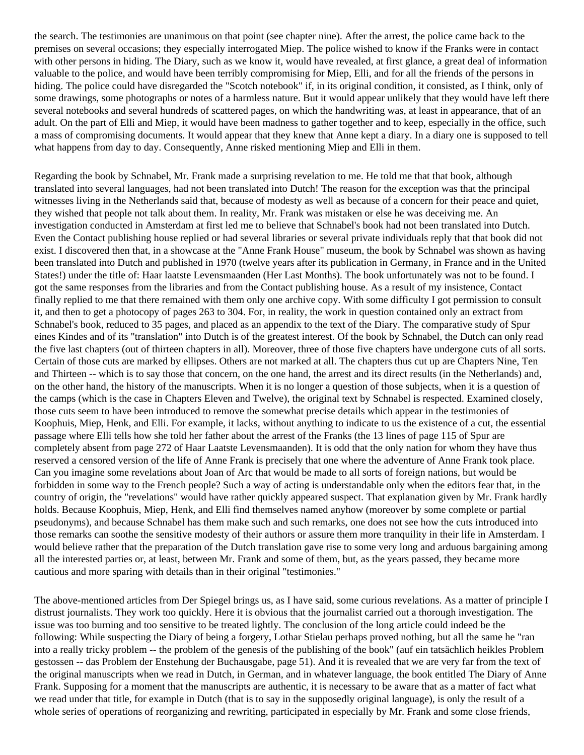the search. The testimonies are unanimous on that point (see chapter nine). After the arrest, the police came back to the premises on several occasions; they especially interrogated Miep. The police wished to know if the Franks were in contact with other persons in hiding. The Diary, such as we know it, would have revealed, at first glance, a great deal of information valuable to the police, and would have been terribly compromising for Miep, Elli, and for all the friends of the persons in hiding. The police could have disregarded the "Scotch notebook" if, in its original condition, it consisted, as I think, only of some drawings, some photographs or notes of a harmless nature. But it would appear unlikely that they would have left there several notebooks and several hundreds of scattered pages, on which the handwriting was, at least in appearance, that of an adult. On the part of Elli and Miep, it would have been madness to gather together and to keep, especially in the office, such a mass of compromising documents. It would appear that they knew that Anne kept a diary. In a diary one is supposed to tell what happens from day to day. Consequently, Anne risked mentioning Miep and Elli in them.

Regarding the book by Schnabel, Mr. Frank made a surprising revelation to me. He told me that that book, although translated into several languages, had not been translated into Dutch! The reason for the exception was that the principal witnesses living in the Netherlands said that, because of modesty as well as because of a concern for their peace and quiet, they wished that people not talk about them. In reality, Mr. Frank was mistaken or else he was deceiving me. An investigation conducted in Amsterdam at first led me to believe that Schnabel's book had not been translated into Dutch. Even the Contact publishing house replied or had several libraries or several private individuals reply that that book did not exist. I discovered then that, in a showcase at the "Anne Frank House" museum, the book by Schnabel was shown as having been translated into Dutch and published in 1970 (twelve years after its publication in Germany, in France and in the United States!) under the title of: Haar laatste Levensmaanden (Her Last Months). The book unfortunately was not to be found. I got the same responses from the libraries and from the Contact publishing house. As a result of my insistence, Contact finally replied to me that there remained with them only one archive copy. With some difficulty I got permission to consult it, and then to get a photocopy of pages 263 to 304. For, in reality, the work in question contained only an extract from Schnabel's book, reduced to 35 pages, and placed as an appendix to the text of the Diary. The comparative study of Spur eines Kindes and of its "translation" into Dutch is of the greatest interest. Of the book by Schnabel, the Dutch can only read the five last chapters (out of thirteen chapters in all). Moreover, three of those five chapters have undergone cuts of all sorts. Certain of those cuts are marked by ellipses. Others are not marked at all. The chapters thus cut up are Chapters Nine, Ten and Thirteen -- which is to say those that concern, on the one hand, the arrest and its direct results (in the Netherlands) and, on the other hand, the history of the manuscripts. When it is no longer a question of those subjects, when it is a question of the camps (which is the case in Chapters Eleven and Twelve), the original text by Schnabel is respected. Examined closely, those cuts seem to have been introduced to remove the somewhat precise details which appear in the testimonies of Koophuis, Miep, Henk, and Elli. For example, it lacks, without anything to indicate to us the existence of a cut, the essential passage where Elli tells how she told her father about the arrest of the Franks (the 13 lines of page 115 of Spur are completely absent from page 272 of Haar Laatste Levensmaanden). It is odd that the only nation for whom they have thus reserved a censored version of the life of Anne Frank is precisely that one where the adventure of Anne Frank took place. Can you imagine some revelations about Joan of Arc that would be made to all sorts of foreign nations, but would be forbidden in some way to the French people? Such a way of acting is understandable only when the editors fear that, in the country of origin, the "revelations" would have rather quickly appeared suspect. That explanation given by Mr. Frank hardly holds. Because Koophuis, Miep, Henk, and Elli find themselves named anyhow (moreover by some complete or partial pseudonyms), and because Schnabel has them make such and such remarks, one does not see how the cuts introduced into those remarks can soothe the sensitive modesty of their authors or assure them more tranquility in their life in Amsterdam. I would believe rather that the preparation of the Dutch translation gave rise to some very long and arduous bargaining among all the interested parties or, at least, between Mr. Frank and some of them, but, as the years passed, they became more cautious and more sparing with details than in their original "testimonies."

The above-mentioned articles from Der Spiegel brings us, as I have said, some curious revelations. As a matter of principle I distrust journalists. They work too quickly. Here it is obvious that the journalist carried out a thorough investigation. The issue was too burning and too sensitive to be treated lightly. The conclusion of the long article could indeed be the following: While suspecting the Diary of being a forgery, Lothar Stielau perhaps proved nothing, but all the same he "ran into a really tricky problem -- the problem of the genesis of the publishing of the book" (auf ein tatsächlich heikles Problem gestossen -- das Problem der Enstehung der Buchausgabe, page 51). And it is revealed that we are very far from the text of the original manuscripts when we read in Dutch, in German, and in whatever language, the book entitled The Diary of Anne Frank. Supposing for a moment that the manuscripts are authentic, it is necessary to be aware that as a matter of fact what we read under that title, for example in Dutch (that is to say in the supposedly original language), is only the result of a whole series of operations of reorganizing and rewriting, participated in especially by Mr. Frank and some close friends,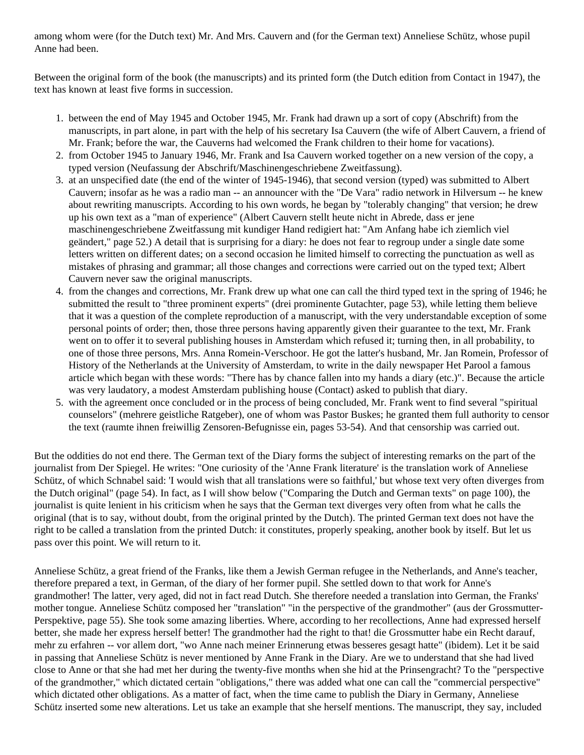among whom were (for the Dutch text) Mr. And Mrs. Cauvern and (for the German text) Anneliese Schütz, whose pupil Anne had been.

Between the original form of the book (the manuscripts) and its printed form (the Dutch edition from Contact in 1947), the text has known at least five forms in succession.

- 1. between the end of May 1945 and October 1945, Mr. Frank had drawn up a sort of copy (Abschrift) from the manuscripts, in part alone, in part with the help of his secretary Isa Cauvern (the wife of Albert Cauvern, a friend of Mr. Frank; before the war, the Cauverns had welcomed the Frank children to their home for vacations).
- 2. from October 1945 to January 1946, Mr. Frank and Isa Cauvern worked together on a new version of the copy, a typed version (Neufassung der Abschrift/Maschinengeschriebene Zweitfassung).
- 3. at an unspecified date (the end of the winter of 1945-1946), that second version (typed) was submitted to Albert Cauvern; insofar as he was a radio man -- an announcer with the "De Vara" radio network in Hilversum -- he knew about rewriting manuscripts. According to his own words, he began by "tolerably changing" that version; he drew up his own text as a "man of experience" (Albert Cauvern stellt heute nicht in Abrede, dass er jene maschinengeschriebene Zweitfassung mit kundiger Hand redigiert hat: "Am Anfang habe ich ziemlich viel geändert," page 52.) A detail that is surprising for a diary: he does not fear to regroup under a single date some letters written on different dates; on a second occasion he limited himself to correcting the punctuation as well as mistakes of phrasing and grammar; all those changes and corrections were carried out on the typed text; Albert Cauvern never saw the original manuscripts.
- 4. from the changes and corrections, Mr. Frank drew up what one can call the third typed text in the spring of 1946; he submitted the result to "three prominent experts" (drei prominente Gutachter, page 53), while letting them believe that it was a question of the complete reproduction of a manuscript, with the very understandable exception of some personal points of order; then, those three persons having apparently given their guarantee to the text, Mr. Frank went on to offer it to several publishing houses in Amsterdam which refused it; turning then, in all probability, to one of those three persons, Mrs. Anna Romein-Verschoor. He got the latter's husband, Mr. Jan Romein, Professor of History of the Netherlands at the University of Amsterdam, to write in the daily newspaper Het Parool a famous article which began with these words: "There has by chance fallen into my hands a diary (etc.)". Because the article was very laudatory, a modest Amsterdam publishing house (Contact) asked to publish that diary.
- 5. with the agreement once concluded or in the process of being concluded, Mr. Frank went to find several "spiritual counselors" (mehrere geistliche Ratgeber), one of whom was Pastor Buskes; he granted them full authority to censor the text (raumte ihnen freiwillig Zensoren-Befugnisse ein, pages 53-54). And that censorship was carried out.

But the oddities do not end there. The German text of the Diary forms the subject of interesting remarks on the part of the journalist from Der Spiegel. He writes: "One curiosity of the 'Anne Frank literature' is the translation work of Anneliese Schütz, of which Schnabel said: 'I would wish that all translations were so faithful,' but whose text very often diverges from the Dutch original" (page 54). In fact, as I will show below ("Comparing the Dutch and German texts" on page 100), the journalist is quite lenient in his criticism when he says that the German text diverges very often from what he calls the original (that is to say, without doubt, from the original printed by the Dutch). The printed German text does not have the right to be called a translation from the printed Dutch: it constitutes, properly speaking, another book by itself. But let us pass over this point. We will return to it.

Anneliese Schütz, a great friend of the Franks, like them a Jewish German refugee in the Netherlands, and Anne's teacher, therefore prepared a text, in German, of the diary of her former pupil. She settled down to that work for Anne's grandmother! The latter, very aged, did not in fact read Dutch. She therefore needed a translation into German, the Franks' mother tongue. Anneliese Schütz composed her "translation" "in the perspective of the grandmother" (aus der Grossmutter-Perspektive, page 55). She took some amazing liberties. Where, according to her recollections, Anne had expressed herself better, she made her express herself better! The grandmother had the right to that! die Grossmutter habe ein Recht darauf, mehr zu erfahren -- vor allem dort, "wo Anne nach meiner Erinnerung etwas besseres gesagt hatte" (ibidem). Let it be said in passing that Anneliese Schütz is never mentioned by Anne Frank in the Diary. Are we to understand that she had lived close to Anne or that she had met her during the twenty-five months when she hid at the Prinsengracht? To the "perspective of the grandmother," which dictated certain "obligations," there was added what one can call the "commercial perspective" which dictated other obligations. As a matter of fact, when the time came to publish the Diary in Germany, Anneliese Schütz inserted some new alterations. Let us take an example that she herself mentions. The manuscript, they say, included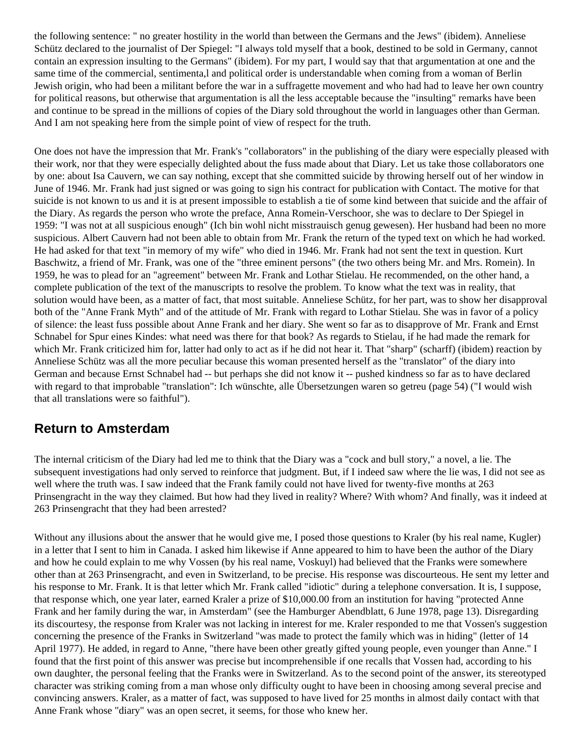the following sentence: " no greater hostility in the world than between the Germans and the Jews" (ibidem). Anneliese Schütz declared to the journalist of Der Spiegel: "I always told myself that a book, destined to be sold in Germany, cannot contain an expression insulting to the Germans" (ibidem). For my part, I would say that that argumentation at one and the same time of the commercial, sentimenta,l and political order is understandable when coming from a woman of Berlin Jewish origin, who had been a militant before the war in a suffragette movement and who had had to leave her own country for political reasons, but otherwise that argumentation is all the less acceptable because the "insulting" remarks have been and continue to be spread in the millions of copies of the Diary sold throughout the world in languages other than German. And I am not speaking here from the simple point of view of respect for the truth.

One does not have the impression that Mr. Frank's "collaborators" in the publishing of the diary were especially pleased with their work, nor that they were especially delighted about the fuss made about that Diary. Let us take those collaborators one by one: about Isa Cauvern, we can say nothing, except that she committed suicide by throwing herself out of her window in June of 1946. Mr. Frank had just signed or was going to sign his contract for publication with Contact. The motive for that suicide is not known to us and it is at present impossible to establish a tie of some kind between that suicide and the affair of the Diary. As regards the person who wrote the preface, Anna Romein-Verschoor, she was to declare to Der Spiegel in 1959: "I was not at all suspicious enough" (Ich bin wohl nicht misstrauisch genug gewesen). Her husband had been no more suspicious. Albert Cauvern had not been able to obtain from Mr. Frank the return of the typed text on which he had worked. He had asked for that text "in memory of my wife" who died in 1946. Mr. Frank had not sent the text in question. Kurt Baschwitz, a friend of Mr. Frank, was one of the "three eminent persons" (the two others being Mr. and Mrs. Romein). In 1959, he was to plead for an "agreement" between Mr. Frank and Lothar Stielau. He recommended, on the other hand, a complete publication of the text of the manuscripts to resolve the problem. To know what the text was in reality, that solution would have been, as a matter of fact, that most suitable. Anneliese Schütz, for her part, was to show her disapproval both of the "Anne Frank Myth" and of the attitude of Mr. Frank with regard to Lothar Stielau. She was in favor of a policy of silence: the least fuss possible about Anne Frank and her diary. She went so far as to disapprove of Mr. Frank and Ernst Schnabel for Spur eines Kindes: what need was there for that book? As regards to Stielau, if he had made the remark for which Mr. Frank criticized him for, latter had only to act as if he did not hear it. That "sharp" (scharff) (ibidem) reaction by Anneliese Schütz was all the more peculiar because this woman presented herself as the "translator" of the diary into German and because Ernst Schnabel had -- but perhaps she did not know it -- pushed kindness so far as to have declared with regard to that improbable "translation": Ich wünschte, alle Übersetzungen waren so getreu (page 54) ("I would wish that all translations were so faithful").

### **Return to Amsterdam**

The internal criticism of the Diary had led me to think that the Diary was a "cock and bull story," a novel, a lie. The subsequent investigations had only served to reinforce that judgment. But, if I indeed saw where the lie was, I did not see as well where the truth was. I saw indeed that the Frank family could not have lived for twenty-five months at 263 Prinsengracht in the way they claimed. But how had they lived in reality? Where? With whom? And finally, was it indeed at 263 Prinsengracht that they had been arrested?

Without any illusions about the answer that he would give me, I posed those questions to Kraler (by his real name, Kugler) in a letter that I sent to him in Canada. I asked him likewise if Anne appeared to him to have been the author of the Diary and how he could explain to me why Vossen (by his real name, Voskuyl) had believed that the Franks were somewhere other than at 263 Prinsengracht, and even in Switzerland, to be precise. His response was discourteous. He sent my letter and his response to Mr. Frank. It is that letter which Mr. Frank called "idiotic" during a telephone conversation. It is, I suppose, that response which, one year later, earned Kraler a prize of \$10,000.00 from an institution for having "protected Anne Frank and her family during the war, in Amsterdam" (see the Hamburger Abendblatt, 6 June 1978, page 13). Disregarding its discourtesy, the response from Kraler was not lacking in interest for me. Kraler responded to me that Vossen's suggestion concerning the presence of the Franks in Switzerland "was made to protect the family which was in hiding" (letter of 14 April 1977). He added, in regard to Anne, "there have been other greatly gifted young people, even younger than Anne." I found that the first point of this answer was precise but incomprehensible if one recalls that Vossen had, according to his own daughter, the personal feeling that the Franks were in Switzerland. As to the second point of the answer, its stereotyped character was striking coming from a man whose only difficulty ought to have been in choosing among several precise and convincing answers. Kraler, as a matter of fact, was supposed to have lived for 25 months in almost daily contact with that Anne Frank whose "diary" was an open secret, it seems, for those who knew her.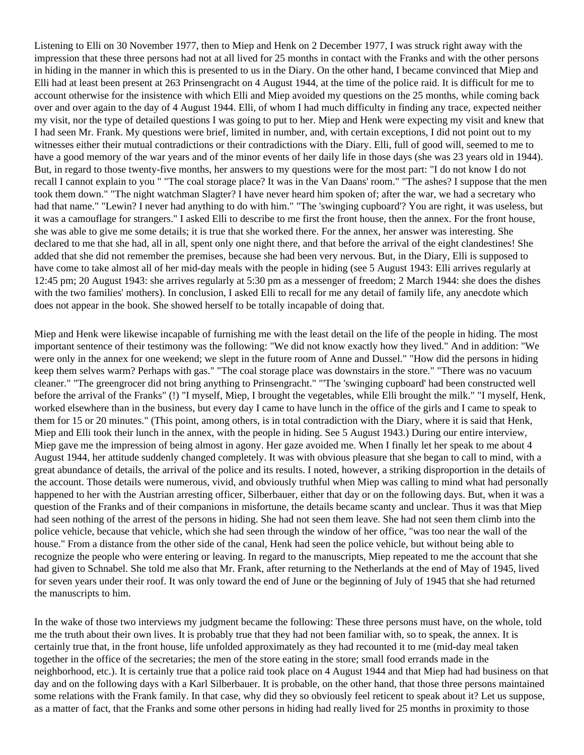Listening to Elli on 30 November 1977, then to Miep and Henk on 2 December 1977, I was struck right away with the impression that these three persons had not at all lived for 25 months in contact with the Franks and with the other persons in hiding in the manner in which this is presented to us in the Diary. On the other hand, I became convinced that Miep and Elli had at least been present at 263 Prinsengracht on 4 August 1944, at the time of the police raid. It is difficult for me to account otherwise for the insistence with which Elli and Miep avoided my questions on the 25 months, while coming back over and over again to the day of 4 August 1944. Elli, of whom I had much difficulty in finding any trace, expected neither my visit, nor the type of detailed questions I was going to put to her. Miep and Henk were expecting my visit and knew that I had seen Mr. Frank. My questions were brief, limited in number, and, with certain exceptions, I did not point out to my witnesses either their mutual contradictions or their contradictions with the Diary. Elli, full of good will, seemed to me to have a good memory of the war years and of the minor events of her daily life in those days (she was 23 years old in 1944). But, in regard to those twenty-five months, her answers to my questions were for the most part: "I do not know I do not recall I cannot explain to you " "The coal storage place? It was in the Van Daans' room." "The ashes? I suppose that the men took them down." "The night watchman Slagter? I have never heard him spoken of; after the war, we had a secretary who had that name." "Lewin? I never had anything to do with him." "The 'swinging cupboard'? You are right, it was useless, but it was a camouflage for strangers." I asked Elli to describe to me first the front house, then the annex. For the front house, she was able to give me some details; it is true that she worked there. For the annex, her answer was interesting. She declared to me that she had, all in all, spent only one night there, and that before the arrival of the eight clandestines! She added that she did not remember the premises, because she had been very nervous. But, in the Diary, Elli is supposed to have come to take almost all of her mid-day meals with the people in hiding (see 5 August 1943: Elli arrives regularly at 12:45 pm; 20 August 1943: she arrives regularly at 5:30 pm as a messenger of freedom; 2 March 1944: she does the dishes with the two families' mothers). In conclusion, I asked Elli to recall for me any detail of family life, any anecdote which does not appear in the book. She showed herself to be totally incapable of doing that.

Miep and Henk were likewise incapable of furnishing me with the least detail on the life of the people in hiding. The most important sentence of their testimony was the following: "We did not know exactly how they lived." And in addition: "We were only in the annex for one weekend; we slept in the future room of Anne and Dussel." "How did the persons in hiding keep them selves warm? Perhaps with gas." "The coal storage place was downstairs in the store." "There was no vacuum cleaner." "The greengrocer did not bring anything to Prinsengracht." "'The 'swinging cupboard' had been constructed well before the arrival of the Franks" (!) "I myself, Miep, I brought the vegetables, while Elli brought the milk." "I myself, Henk, worked elsewhere than in the business, but every day I came to have lunch in the office of the girls and I came to speak to them for 15 or 20 minutes." (This point, among others, is in total contradiction with the Diary, where it is said that Henk, Miep and Elli took their lunch in the annex, with the people in hiding. See 5 August 1943.) During our entire interview, Miep gave me the impression of being almost in agony. Her gaze avoided me. When I finally let her speak to me about 4 August 1944, her attitude suddenly changed completely. It was with obvious pleasure that she began to call to mind, with a great abundance of details, the arrival of the police and its results. I noted, however, a striking disproportion in the details of the account. Those details were numerous, vivid, and obviously truthful when Miep was calling to mind what had personally happened to her with the Austrian arresting officer, Silberbauer, either that day or on the following days. But, when it was a question of the Franks and of their companions in misfortune, the details became scanty and unclear. Thus it was that Miep had seen nothing of the arrest of the persons in hiding. She had not seen them leave. She had not seen them climb into the police vehicle, because that vehicle, which she had seen through the window of her office, "was too near the wall of the house." From a distance from the other side of the canal, Henk had seen the police vehicle, but without being able to recognize the people who were entering or leaving. In regard to the manuscripts, Miep repeated to me the account that she had given to Schnabel. She told me also that Mr. Frank, after returning to the Netherlands at the end of May of 1945, lived for seven years under their roof. It was only toward the end of June or the beginning of July of 1945 that she had returned the manuscripts to him.

In the wake of those two interviews my judgment became the following: These three persons must have, on the whole, told me the truth about their own lives. It is probably true that they had not been familiar with, so to speak, the annex. It is certainly true that, in the front house, life unfolded approximately as they had recounted it to me (mid-day meal taken together in the office of the secretaries; the men of the store eating in the store; small food errands made in the neighborhood, etc.). It is certainly true that a police raid took place on 4 August 1944 and that Miep had had business on that day and on the following days with a Karl Silberbauer. It is probable, on the other hand, that those three persons maintained some relations with the Frank family. In that case, why did they so obviously feel reticent to speak about it? Let us suppose, as a matter of fact, that the Franks and some other persons in hiding had really lived for 25 months in proximity to those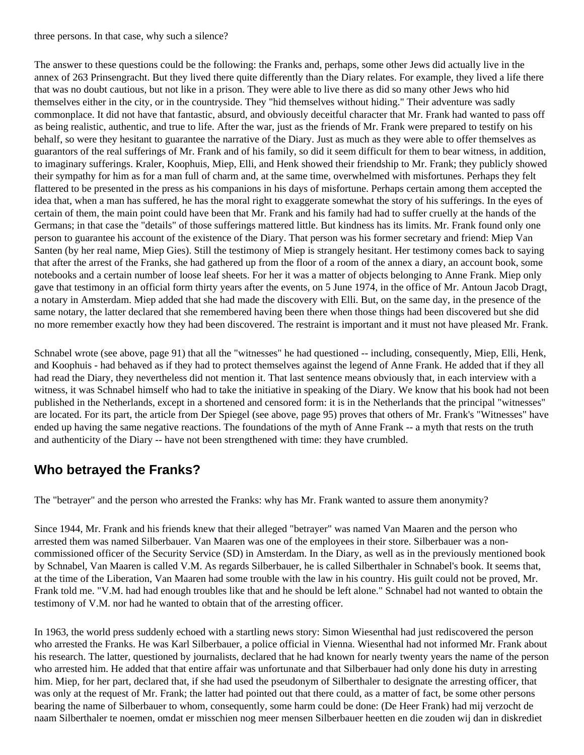#### three persons. In that case, why such a silence?

The answer to these questions could be the following: the Franks and, perhaps, some other Jews did actually live in the annex of 263 Prinsengracht. But they lived there quite differently than the Diary relates. For example, they lived a life there that was no doubt cautious, but not like in a prison. They were able to live there as did so many other Jews who hid themselves either in the city, or in the countryside. They "hid themselves without hiding." Their adventure was sadly commonplace. It did not have that fantastic, absurd, and obviously deceitful character that Mr. Frank had wanted to pass off as being realistic, authentic, and true to life. After the war, just as the friends of Mr. Frank were prepared to testify on his behalf, so were they hesitant to guarantee the narrative of the Diary. Just as much as they were able to offer themselves as guarantors of the real sufferings of Mr. Frank and of his family, so did it seem difficult for them to bear witness, in addition, to imaginary sufferings. Kraler, Koophuis, Miep, Elli, and Henk showed their friendship to Mr. Frank; they publicly showed their sympathy for him as for a man full of charm and, at the same time, overwhelmed with misfortunes. Perhaps they felt flattered to be presented in the press as his companions in his days of misfortune. Perhaps certain among them accepted the idea that, when a man has suffered, he has the moral right to exaggerate somewhat the story of his sufferings. In the eyes of certain of them, the main point could have been that Mr. Frank and his family had had to suffer cruelly at the hands of the Germans; in that case the "details" of those sufferings mattered little. But kindness has its limits. Mr. Frank found only one person to guarantee his account of the existence of the Diary. That person was his former secretary and friend: Miep Van Santen (by her real name, Miep Gies). Still the testimony of Miep is strangely hesitant. Her testimony comes back to saying that after the arrest of the Franks, she had gathered up from the floor of a room of the annex a diary, an account book, some notebooks and a certain number of loose leaf sheets. For her it was a matter of objects belonging to Anne Frank. Miep only gave that testimony in an official form thirty years after the events, on 5 June 1974, in the office of Mr. Antoun Jacob Dragt, a notary in Amsterdam. Miep added that she had made the discovery with Elli. But, on the same day, in the presence of the same notary, the latter declared that she remembered having been there when those things had been discovered but she did no more remember exactly how they had been discovered. The restraint is important and it must not have pleased Mr. Frank.

Schnabel wrote (see above, page 91) that all the "witnesses" he had questioned -- including, consequently, Miep, Elli, Henk, and Koophuis - had behaved as if they had to protect themselves against the legend of Anne Frank. He added that if they all had read the Diary, they nevertheless did not mention it. That last sentence means obviously that, in each interview with a witness, it was Schnabel himself who had to take the initiative in speaking of the Diary. We know that his book had not been published in the Netherlands, except in a shortened and censored form: it is in the Netherlands that the principal "witnesses" are located. For its part, the article from Der Spiegel (see above, page 95) proves that others of Mr. Frank's "Witnesses" have ended up having the same negative reactions. The foundations of the myth of Anne Frank -- a myth that rests on the truth and authenticity of the Diary -- have not been strengthened with time: they have crumbled.

### **Who betrayed the Franks?**

The "betrayer" and the person who arrested the Franks: why has Mr. Frank wanted to assure them anonymity?

Since 1944, Mr. Frank and his friends knew that their alleged "betrayer" was named Van Maaren and the person who arrested them was named Silberbauer. Van Maaren was one of the employees in their store. Silberbauer was a noncommissioned officer of the Security Service (SD) in Amsterdam. In the Diary, as well as in the previously mentioned book by Schnabel, Van Maaren is called V.M. As regards Silberbauer, he is called Silberthaler in Schnabel's book. It seems that, at the time of the Liberation, Van Maaren had some trouble with the law in his country. His guilt could not be proved, Mr. Frank told me. "V.M. had had enough troubles like that and he should be left alone." Schnabel had not wanted to obtain the testimony of V.M. nor had he wanted to obtain that of the arresting officer.

In 1963, the world press suddenly echoed with a startling news story: Simon Wiesenthal had just rediscovered the person who arrested the Franks. He was Karl Silberbauer, a police official in Vienna. Wiesenthal had not informed Mr. Frank about his research. The latter, questioned by journalists, declared that he had known for nearly twenty years the name of the person who arrested him. He added that that entire affair was unfortunate and that Silberbauer had only done his duty in arresting him. Miep, for her part, declared that, if she had used the pseudonym of Silberthaler to designate the arresting officer, that was only at the request of Mr. Frank; the latter had pointed out that there could, as a matter of fact, be some other persons bearing the name of Silberbauer to whom, consequently, some harm could be done: (De Heer Frank) had mij verzocht de naam Silberthaler te noemen, omdat er misschien nog meer mensen Silberbauer heetten en die zouden wij dan in diskrediet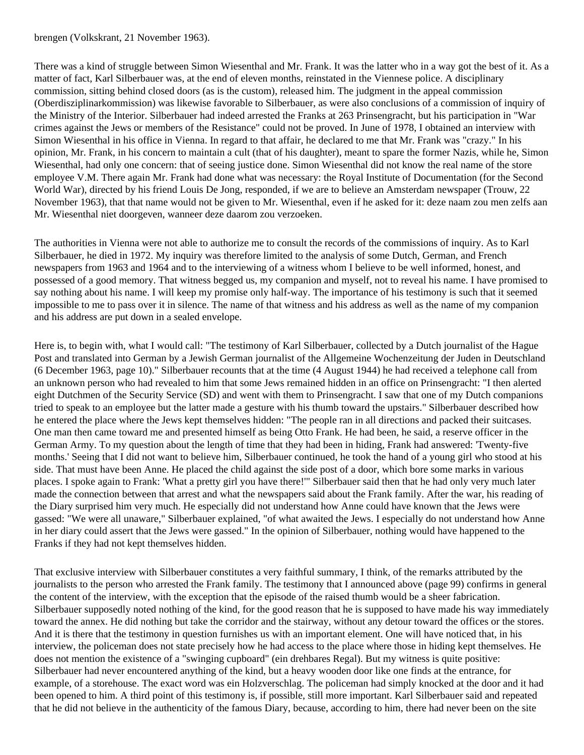brengen (Volkskrant, 21 November 1963).

There was a kind of struggle between Simon Wiesenthal and Mr. Frank. It was the latter who in a way got the best of it. As a matter of fact, Karl Silberbauer was, at the end of eleven months, reinstated in the Viennese police. A disciplinary commission, sitting behind closed doors (as is the custom), released him. The judgment in the appeal commission (Oberdisziplinarkommission) was likewise favorable to Silberbauer, as were also conclusions of a commission of inquiry of the Ministry of the Interior. Silberbauer had indeed arrested the Franks at 263 Prinsengracht, but his participation in "War crimes against the Jews or members of the Resistance" could not be proved. In June of 1978, I obtained an interview with Simon Wiesenthal in his office in Vienna. In regard to that affair, he declared to me that Mr. Frank was "crazy." In his opinion, Mr. Frank, in his concern to maintain a cult (that of his daughter), meant to spare the former Nazis, while he, Simon Wiesenthal, had only one concern: that of seeing justice done. Simon Wiesenthal did not know the real name of the store employee V.M. There again Mr. Frank had done what was necessary: the Royal Institute of Documentation (for the Second World War), directed by his friend Louis De Jong, responded, if we are to believe an Amsterdam newspaper (Trouw, 22 November 1963), that that name would not be given to Mr. Wiesenthal, even if he asked for it: deze naam zou men zelfs aan Mr. Wiesenthal niet doorgeven, wanneer deze daarom zou verzoeken.

The authorities in Vienna were not able to authorize me to consult the records of the commissions of inquiry. As to Karl Silberbauer, he died in 1972. My inquiry was therefore limited to the analysis of some Dutch, German, and French newspapers from 1963 and 1964 and to the interviewing of a witness whom I believe to be well informed, honest, and possessed of a good memory. That witness begged us, my companion and myself, not to reveal his name. I have promised to say nothing about his name. I will keep my promise only half-way. The importance of his testimony is such that it seemed impossible to me to pass over it in silence. The name of that witness and his address as well as the name of my companion and his address are put down in a sealed envelope.

Here is, to begin with, what I would call: "The testimony of Karl Silberbauer, collected by a Dutch journalist of the Hague Post and translated into German by a Jewish German journalist of the Allgemeine Wochenzeitung der Juden in Deutschland (6 December 1963, page 10)." Silberbauer recounts that at the time (4 August 1944) he had received a telephone call from an unknown person who had revealed to him that some Jews remained hidden in an office on Prinsengracht: "I then alerted eight Dutchmen of the Security Service (SD) and went with them to Prinsengracht. I saw that one of my Dutch companions tried to speak to an employee but the latter made a gesture with his thumb toward the upstairs." Silberbauer described how he entered the place where the Jews kept themselves hidden: "The people ran in all directions and packed their suitcases. One man then came toward me and presented himself as being Otto Frank. He had been, he said, a reserve officer in the German Army. To my question about the length of time that they had been in hiding, Frank had answered: 'Twenty-five months.' Seeing that I did not want to believe him, Silberbauer continued, he took the hand of a young girl who stood at his side. That must have been Anne. He placed the child against the side post of a door, which bore some marks in various places. I spoke again to Frank: 'What a pretty girl you have there!'" Silberbauer said then that he had only very much later made the connection between that arrest and what the newspapers said about the Frank family. After the war, his reading of the Diary surprised him very much. He especially did not understand how Anne could have known that the Jews were gassed: "We were all unaware," Silberbauer explained, "of what awaited the Jews. I especially do not understand how Anne in her diary could assert that the Jews were gassed." In the opinion of Silberbauer, nothing would have happened to the Franks if they had not kept themselves hidden.

That exclusive interview with Silberbauer constitutes a very faithful summary, I think, of the remarks attributed by the journalists to the person who arrested the Frank family. The testimony that I announced above (page 99) confirms in general the content of the interview, with the exception that the episode of the raised thumb would be a sheer fabrication. Silberbauer supposedly noted nothing of the kind, for the good reason that he is supposed to have made his way immediately toward the annex. He did nothing but take the corridor and the stairway, without any detour toward the offices or the stores. And it is there that the testimony in question furnishes us with an important element. One will have noticed that, in his interview, the policeman does not state precisely how he had access to the place where those in hiding kept themselves. He does not mention the existence of a "swinging cupboard" (ein drehbares Regal). But my witness is quite positive: Silberbauer had never encountered anything of the kind, but a heavy wooden door like one finds at the entrance, for example, of a storehouse. The exact word was ein Holzverschlag. The policeman had simply knocked at the door and it had been opened to him. A third point of this testimony is, if possible, still more important. Karl Silberbauer said and repeated that he did not believe in the authenticity of the famous Diary, because, according to him, there had never been on the site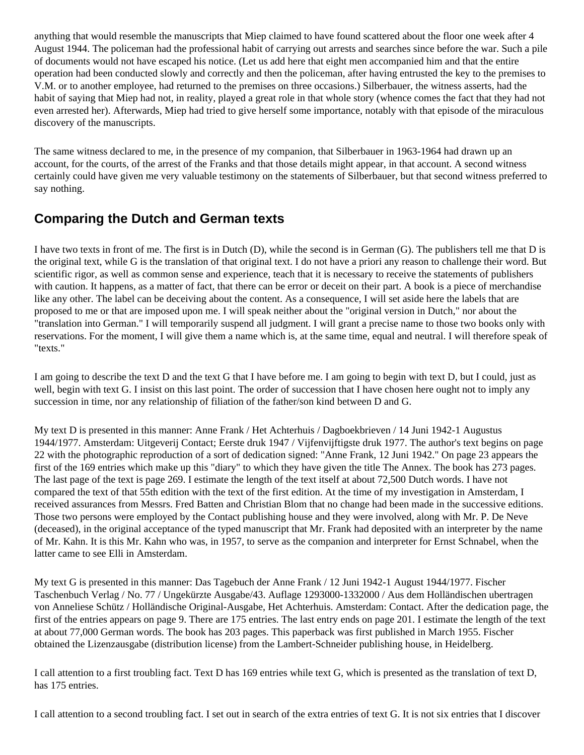anything that would resemble the manuscripts that Miep claimed to have found scattered about the floor one week after 4 August 1944. The policeman had the professional habit of carrying out arrests and searches since before the war. Such a pile of documents would not have escaped his notice. (Let us add here that eight men accompanied him and that the entire operation had been conducted slowly and correctly and then the policeman, after having entrusted the key to the premises to V.M. or to another employee, had returned to the premises on three occasions.) Silberbauer, the witness asserts, had the habit of saying that Miep had not, in reality, played a great role in that whole story (whence comes the fact that they had not even arrested her). Afterwards, Miep had tried to give herself some importance, notably with that episode of the miraculous discovery of the manuscripts.

The same witness declared to me, in the presence of my companion, that Silberbauer in 1963-1964 had drawn up an account, for the courts, of the arrest of the Franks and that those details might appear, in that account. A second witness certainly could have given me very valuable testimony on the statements of Silberbauer, but that second witness preferred to say nothing.

# **Comparing the Dutch and German texts**

I have two texts in front of me. The first is in Dutch (D), while the second is in German (G). The publishers tell me that D is the original text, while G is the translation of that original text. I do not have a priori any reason to challenge their word. But scientific rigor, as well as common sense and experience, teach that it is necessary to receive the statements of publishers with caution. It happens, as a matter of fact, that there can be error or deceit on their part. A book is a piece of merchandise like any other. The label can be deceiving about the content. As a consequence, I will set aside here the labels that are proposed to me or that are imposed upon me. I will speak neither about the "original version in Dutch," nor about the "translation into German." I will temporarily suspend all judgment. I will grant a precise name to those two books only with reservations. For the moment, I will give them a name which is, at the same time, equal and neutral. I will therefore speak of "texts."

I am going to describe the text D and the text G that I have before me. I am going to begin with text D, but I could, just as well, begin with text G. I insist on this last point. The order of succession that I have chosen here ought not to imply any succession in time, nor any relationship of filiation of the father/son kind between D and G.

My text D is presented in this manner: Anne Frank / Het Achterhuis / Dagboekbrieven / 14 Juni 1942-1 Augustus 1944/1977. Amsterdam: Uitgeverij Contact; Eerste druk 1947 / Vijfenvijftigste druk 1977. The author's text begins on page 22 with the photographic reproduction of a sort of dedication signed: "Anne Frank, 12 Juni 1942." On page 23 appears the first of the 169 entries which make up this "diary" to which they have given the title The Annex. The book has 273 pages. The last page of the text is page 269. I estimate the length of the text itself at about 72,500 Dutch words. I have not compared the text of that 55th edition with the text of the first edition. At the time of my investigation in Amsterdam, I received assurances from Messrs. Fred Batten and Christian Blom that no change had been made in the successive editions. Those two persons were employed by the Contact publishing house and they were involved, along with Mr. P. De Neve (deceased), in the original acceptance of the typed manuscript that Mr. Frank had deposited with an interpreter by the name of Mr. Kahn. It is this Mr. Kahn who was, in 1957, to serve as the companion and interpreter for Ernst Schnabel, when the latter came to see Elli in Amsterdam.

My text G is presented in this manner: Das Tagebuch der Anne Frank / 12 Juni 1942-1 August 1944/1977. Fischer Taschenbuch Verlag / No. 77 / Ungekürzte Ausgabe/43. Auflage 1293000-1332000 / Aus dem Holländischen ubertragen von Anneliese Schütz / Holländische Original-Ausgabe, Het Achterhuis. Amsterdam: Contact. After the dedication page, the first of the entries appears on page 9. There are 175 entries. The last entry ends on page 201. I estimate the length of the text at about 77,000 German words. The book has 203 pages. This paperback was first published in March 1955. Fischer obtained the Lizenzausgabe (distribution license) from the Lambert-Schneider publishing house, in Heidelberg.

I call attention to a first troubling fact. Text D has 169 entries while text G, which is presented as the translation of text D, has 175 entries.

I call attention to a second troubling fact. I set out in search of the extra entries of text G. It is not six entries that I discover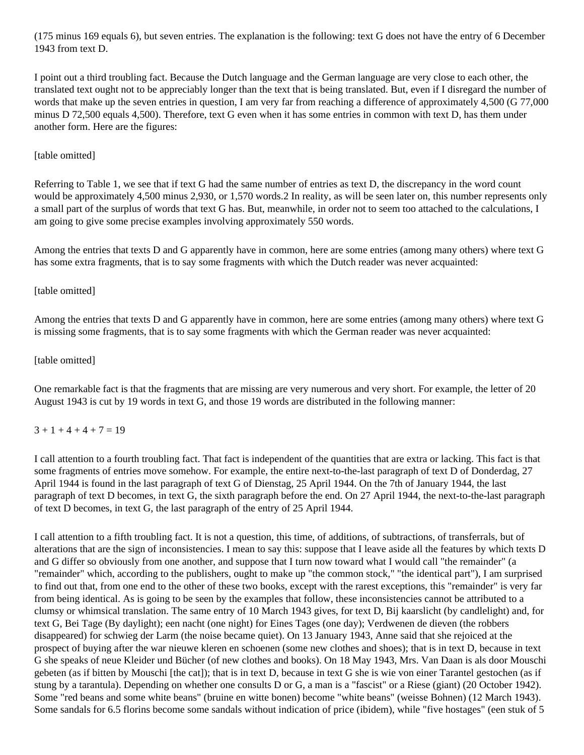(175 minus 169 equals 6), but seven entries. The explanation is the following: text G does not have the entry of 6 December 1943 from text D.

I point out a third troubling fact. Because the Dutch language and the German language are very close to each other, the translated text ought not to be appreciably longer than the text that is being translated. But, even if I disregard the number of words that make up the seven entries in question, I am very far from reaching a difference of approximately 4,500 (G 77,000 minus D 72,500 equals 4,500). Therefore, text G even when it has some entries in common with text D, has them under another form. Here are the figures:

#### [table omitted]

Referring to Table 1, we see that if text G had the same number of entries as text D, the discrepancy in the word count would be approximately 4,500 minus 2,930, or 1,570 words.2 In reality, as will be seen later on, this number represents only a small part of the surplus of words that text G has. But, meanwhile, in order not to seem too attached to the calculations, I am going to give some precise examples involving approximately 550 words.

Among the entries that texts D and G apparently have in common, here are some entries (among many others) where text G has some extra fragments, that is to say some fragments with which the Dutch reader was never acquainted:

#### [table omitted]

Among the entries that texts D and G apparently have in common, here are some entries (among many others) where text G is missing some fragments, that is to say some fragments with which the German reader was never acquainted:

#### [table omitted]

One remarkable fact is that the fragments that are missing are very numerous and very short. For example, the letter of 20 August 1943 is cut by 19 words in text G, and those 19 words are distributed in the following manner:

#### $3 + 1 + 4 + 4 + 7 = 19$

I call attention to a fourth troubling fact. That fact is independent of the quantities that are extra or lacking. This fact is that some fragments of entries move somehow. For example, the entire next-to-the-last paragraph of text D of Donderdag, 27 April 1944 is found in the last paragraph of text G of Dienstag, 25 April 1944. On the 7th of January 1944, the last paragraph of text D becomes, in text G, the sixth paragraph before the end. On 27 April 1944, the next-to-the-last paragraph of text D becomes, in text G, the last paragraph of the entry of 25 April 1944.

I call attention to a fifth troubling fact. It is not a question, this time, of additions, of subtractions, of transferrals, but of alterations that are the sign of inconsistencies. I mean to say this: suppose that I leave aside all the features by which texts D and G differ so obviously from one another, and suppose that I turn now toward what I would call "the remainder" (a "remainder" which, according to the publishers, ought to make up "the common stock," "the identical part"), I am surprised to find out that, from one end to the other of these two books, except with the rarest exceptions, this "remainder" is very far from being identical. As is going to be seen by the examples that follow, these inconsistencies cannot be attributed to a clumsy or whimsical translation. The same entry of 10 March 1943 gives, for text D, Bij kaarslicht (by candlelight) and, for text G, Bei Tage (By daylight); een nacht (one night) for Eines Tages (one day); Verdwenen de dieven (the robbers disappeared) for schwieg der Larm (the noise became quiet). On 13 January 1943, Anne said that she rejoiced at the prospect of buying after the war nieuwe kleren en schoenen (some new clothes and shoes); that is in text D, because in text G she speaks of neue Kleider und Bücher (of new clothes and books). On 18 May 1943, Mrs. Van Daan is als door Mouschi gebeten (as if bitten by Mouschi [the cat]); that is in text D, because in text G she is wie von einer Tarantel gestochen (as if stung by a tarantula). Depending on whether one consults D or G, a man is a "fascist" or a Riese (giant) (20 October 1942). Some "red beans and some white beans" (bruine en witte bonen) become "white beans" (weisse Bohnen) (12 March 1943). Some sandals for 6.5 florins become some sandals without indication of price (ibidem), while "five hostages" (een stuk of 5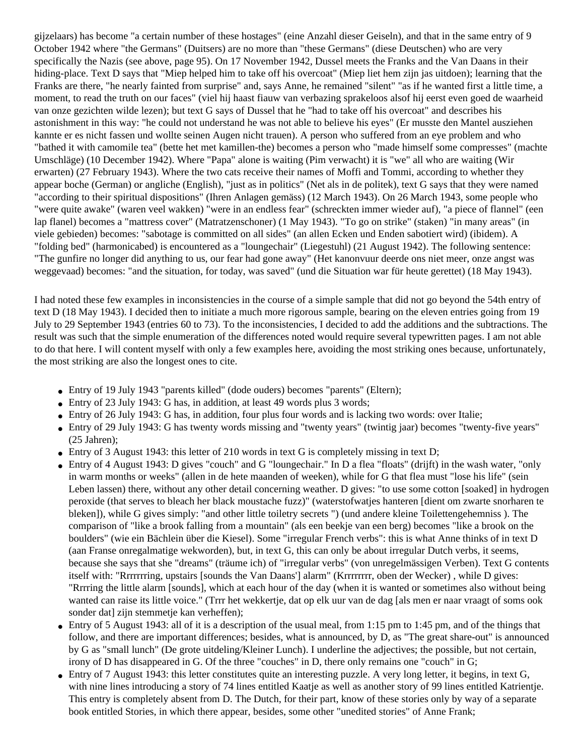gijzelaars) has become "a certain number of these hostages" (eine Anzahl dieser Geiseln), and that in the same entry of 9 October 1942 where "the Germans" (Duitsers) are no more than "these Germans" (diese Deutschen) who are very specifically the Nazis (see above, page 95). On 17 November 1942, Dussel meets the Franks and the Van Daans in their hiding-place. Text D says that "Miep helped him to take off his overcoat" (Miep liet hem zijn jas uitdoen); learning that the Franks are there, "he nearly fainted from surprise" and, says Anne, he remained "silent" "as if he wanted first a little time, a moment, to read the truth on our faces" (viel hij haast fiauw van verbazing sprakeloos alsof hij eerst even goed de waarheid van onze gezichten wilde lezen); but text G says of Dussel that he "had to take off his overcoat" and describes his astonishment in this way: "he could not understand he was not able to believe his eyes" (Er musste den Mantel ausziehen kannte er es nicht fassen und wollte seinen Augen nicht trauen). A person who suffered from an eye problem and who "bathed it with camomile tea" (bette het met kamillen-the) becomes a person who "made himself some compresses" (machte Umschläge) (10 December 1942). Where "Papa" alone is waiting (Pim verwacht) it is "we" all who are waiting (Wir erwarten) (27 February 1943). Where the two cats receive their names of Moffi and Tommi, according to whether they appear boche (German) or angliche (English), "just as in politics" (Net als in de politek), text G says that they were named "according to their spiritual dispositions" (Ihren Anlagen gemäss) (12 March 1943). On 26 March 1943, some people who "were quite awake" (waren veel wakken) "were in an endless fear" (schreckten immer wieder auf), "a piece of flannel" (een lap flanel) becomes a "mattress cover" (Matratzenschoner) (1 May 1943). "To go on strike" (staken) "in many areas" (in viele gebieden) becomes: "sabotage is committed on all sides" (an allen Ecken und Enden sabotiert wird) (ibidem). A "folding bed" (harmonicabed) is encountered as a "loungechair" (Liegestuhl) (21 August 1942). The following sentence: "The gunfire no longer did anything to us, our fear had gone away" (Het kanonvuur deerde ons niet meer, onze angst was weggevaad) becomes: "and the situation, for today, was saved" (und die Situation war für heute gerettet) (18 May 1943).

I had noted these few examples in inconsistencies in the course of a simple sample that did not go beyond the 54th entry of text D (18 May 1943). I decided then to initiate a much more rigorous sample, bearing on the eleven entries going from 19 July to 29 September 1943 (entries 60 to 73). To the inconsistencies, I decided to add the additions and the subtractions. The result was such that the simple enumeration of the differences noted would require several typewritten pages. I am not able to do that here. I will content myself with only a few examples here, avoiding the most striking ones because, unfortunately, the most striking are also the longest ones to cite.

- Entry of 19 July 1943 "parents killed" (dode ouders) becomes "parents" (Eltern);
- Entry of 23 July 1943: G has, in addition, at least 49 words plus 3 words;
- Entry of 26 July 1943: G has, in addition, four plus four words and is lacking two words: over Italie;
- Entry of 29 July 1943: G has twenty words missing and "twenty years" (twintig jaar) becomes "twenty-five years" (25 Jahren);
- $\bullet$  Entry of 3 August 1943: this letter of 210 words in text G is completely missing in text D;
- Entry of 4 August 1943: D gives "couch" and G "loungechair." In D a flea "floats" (drijft) in the wash water, "only in warm months or weeks" (allen in de hete maanden of weeken), while for G that flea must "lose his life" (sein Leben lassen) there, without any other detail concerning weather. D gives: "to use some cotton [soaked] in hydrogen peroxide (that serves to bleach her black moustache fuzz)" (waterstofwatjes hanteren [dient om zwarte snorharen te bleken]), while G gives simply: "and other little toiletry secrets ") (und andere kleine Toilettengehemniss ). The comparison of "like a brook falling from a mountain" (als een beekje van een berg) becomes "like a brook on the boulders" (wie ein Bächlein über die Kiesel). Some "irregular French verbs": this is what Anne thinks of in text D (aan Franse onregalmatige wekworden), but, in text G, this can only be about irregular Dutch verbs, it seems, because she says that she "dreams" (träume ich) of "irregular verbs" (von unregelmässigen Verben). Text G contents itself with: "Rrrrrrring, upstairs [sounds the Van Daans'] alarm" (Krrrrrrrr, oben der Wecker) , while D gives: "Rrrring the little alarm [sounds], which at each hour of the day (when it is wanted or sometimes also without being wanted can raise its little voice." (Trrr het wekkertje, dat op elk uur van de dag [als men er naar vraagt of soms ook sonder dat] zijn stemmetje kan verheffen);
- $\bullet$  Entry of 5 August 1943: all of it is a description of the usual meal, from 1:15 pm to 1:45 pm, and of the things that follow, and there are important differences; besides, what is announced, by D, as "The great share-out" is announced by G as "small lunch" (De grote uitdeling/Kleiner Lunch). I underline the adjectives; the possible, but not certain, irony of D has disappeared in G. Of the three "couches" in D, there only remains one "couch" in G;
- $\bullet$  Entry of 7 August 1943: this letter constitutes quite an interesting puzzle. A very long letter, it begins, in text G, with nine lines introducing a story of 74 lines entitled Kaatje as well as another story of 99 lines entitled Katrientje. This entry is completely absent from D. The Dutch, for their part, know of these stories only by way of a separate book entitled Stories, in which there appear, besides, some other "unedited stories" of Anne Frank;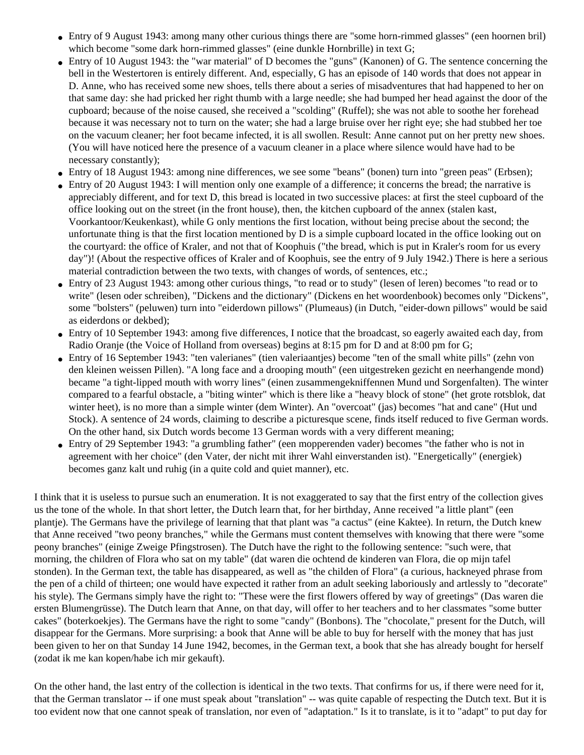- Entry of 9 August 1943: among many other curious things there are "some horn-rimmed glasses" (een hoornen bril) which become "some dark horn-rimmed glasses" (eine dunkle Hornbrille) in text G;
- Entry of 10 August 1943: the "war material" of D becomes the "guns" (Kanonen) of G. The sentence concerning the bell in the Westertoren is entirely different. And, especially, G has an episode of 140 words that does not appear in D. Anne, who has received some new shoes, tells there about a series of misadventures that had happened to her on that same day: she had pricked her right thumb with a large needle; she had bumped her head against the door of the cupboard; because of the noise caused, she received a "scolding" (Ruffel); she was not able to soothe her forehead because it was necessary not to turn on the water; she had a large bruise over her right eye; she had stubbed her toe on the vacuum cleaner; her foot became infected, it is all swollen. Result: Anne cannot put on her pretty new shoes. (You will have noticed here the presence of a vacuum cleaner in a place where silence would have had to be necessary constantly);
- Entry of 18 August 1943: among nine differences, we see some "beans" (bonen) turn into "green peas" (Erbsen);
- Entry of 20 August 1943: I will mention only one example of a difference; it concerns the bread; the narrative is appreciably different, and for text D, this bread is located in two successive places: at first the steel cupboard of the office looking out on the street (in the front house), then, the kitchen cupboard of the annex (stalen kast, Voorkantoor/Keukenkast), while G only mentions the first location, without being precise about the second; the unfortunate thing is that the first location mentioned by D is a simple cupboard located in the office looking out on the courtyard: the office of Kraler, and not that of Koophuis ("the bread, which is put in Kraler's room for us every day")! (About the respective offices of Kraler and of Koophuis, see the entry of 9 July 1942.) There is here a serious material contradiction between the two texts, with changes of words, of sentences, etc.;
- Entry of 23 August 1943: among other curious things, "to read or to study" (lesen of leren) becomes "to read or to write" (lesen oder schreiben), "Dickens and the dictionary" (Dickens en het woordenbook) becomes only "Dickens", some "bolsters" (peluwen) turn into "eiderdown pillows" (Plumeaus) (in Dutch, "eider-down pillows" would be said as eiderdons or dekbed);
- Entry of 10 September 1943: among five differences, I notice that the broadcast, so eagerly awaited each day, from Radio Oranje (the Voice of Holland from overseas) begins at 8:15 pm for D and at 8:00 pm for G;
- Entry of 16 September 1943: "ten valerianes" (tien valeriaantjes) become "ten of the small white pills" (zehn von den kleinen weissen Pillen). "A long face and a drooping mouth" (een uitgestreken gezicht en neerhangende mond) became "a tight-lipped mouth with worry lines" (einen zusammengekniffennen Mund und Sorgenfalten). The winter compared to a fearful obstacle, a "biting winter" which is there like a "heavy block of stone" (het grote rotsblok, dat winter heet), is no more than a simple winter (dem Winter). An "overcoat" (jas) becomes "hat and cane" (Hut und Stock). A sentence of 24 words, claiming to describe a picturesque scene, finds itself reduced to five German words. On the other hand, six Dutch words become 13 German words with a very different meaning;
- Entry of 29 September 1943: "a grumbling father" (een mopperenden vader) becomes "the father who is not in agreement with her choice" (den Vater, der nicht mit ihrer Wahl einverstanden ist). "Energetically" (energiek) becomes ganz kalt und ruhig (in a quite cold and quiet manner), etc.

I think that it is useless to pursue such an enumeration. It is not exaggerated to say that the first entry of the collection gives us the tone of the whole. In that short letter, the Dutch learn that, for her birthday, Anne received "a little plant" (een plantje). The Germans have the privilege of learning that that plant was "a cactus" (eine Kaktee). In return, the Dutch knew that Anne received "two peony branches," while the Germans must content themselves with knowing that there were "some peony branches" (einige Zweige Pfingstrosen). The Dutch have the right to the following sentence: "such were, that morning, the children of Flora who sat on my table" (dat waren die ochtend de kinderen van Flora, die op mijn tafel stonden). In the German text, the table has disappeared, as well as "the childen of Flora" (a curious, hackneyed phrase from the pen of a child of thirteen; one would have expected it rather from an adult seeking laboriously and artlessly to "decorate" his style). The Germans simply have the right to: "These were the first flowers offered by way of greetings" (Das waren die ersten Blumengrüsse). The Dutch learn that Anne, on that day, will offer to her teachers and to her classmates "some butter cakes" (boterkoekjes). The Germans have the right to some "candy" (Bonbons). The "chocolate," present for the Dutch, will disappear for the Germans. More surprising: a book that Anne will be able to buy for herself with the money that has just been given to her on that Sunday 14 June 1942, becomes, in the German text, a book that she has already bought for herself (zodat ik me kan kopen/habe ich mir gekauft).

On the other hand, the last entry of the collection is identical in the two texts. That confirms for us, if there were need for it, that the German translator -- if one must speak about "translation" -- was quite capable of respecting the Dutch text. But it is too evident now that one cannot speak of translation, nor even of "adaptation." Is it to translate, is it to "adapt" to put day for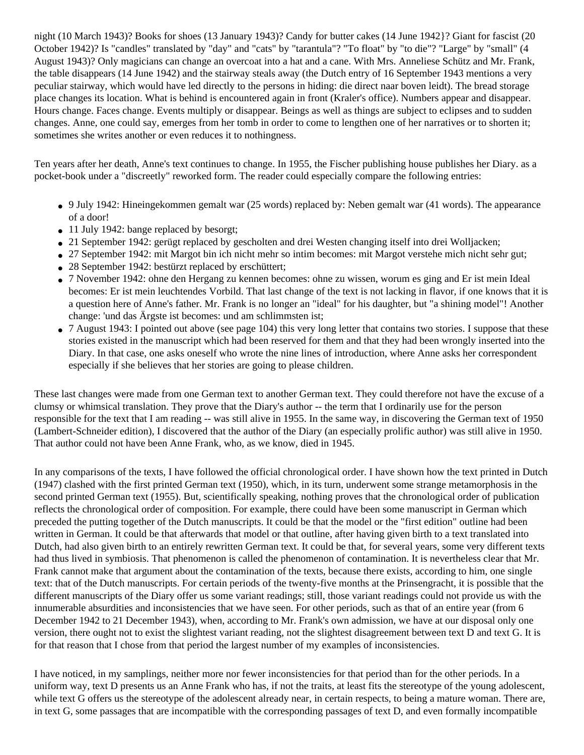night (10 March 1943)? Books for shoes (13 January 1943)? Candy for butter cakes (14 June 1942}? Giant for fascist (20 October 1942)? Is "candles" translated by "day" and "cats" by "tarantula"? "To float" by "to die"? "Large" by "small" (4 August 1943)? Only magicians can change an overcoat into a hat and a cane. With Mrs. Anneliese Schütz and Mr. Frank, the table disappears (14 June 1942) and the stairway steals away (the Dutch entry of 16 September 1943 mentions a very peculiar stairway, which would have led directly to the persons in hiding: die direct naar boven leidt). The bread storage place changes its location. What is behind is encountered again in front (Kraler's office). Numbers appear and disappear. Hours change. Faces change. Events multiply or disappear. Beings as well as things are subject to eclipses and to sudden changes. Anne, one could say, emerges from her tomb in order to come to lengthen one of her narratives or to shorten it; sometimes she writes another or even reduces it to nothingness.

Ten years after her death, Anne's text continues to change. In 1955, the Fischer publishing house publishes her Diary. as a pocket-book under a "discreetly" reworked form. The reader could especially compare the following entries:

- 9 July 1942: Hineingekommen gemalt war (25 words) replaced by: Neben gemalt war (41 words). The appearance of a door!
- 11 July 1942: bange replaced by besorgt;
- 21 September 1942: gerügt replaced by gescholten and drei Westen changing itself into drei Wolljacken;
- 27 September 1942: mit Margot bin ich nicht mehr so intim becomes: mit Margot verstehe mich nicht sehr gut;
- 28 September 1942: bestürzt replaced by erschüttert;
- 7 November 1942: ohne den Hergang zu kennen becomes: ohne zu wissen, worum es ging and Er ist mein Ideal becomes: Er ist mein leuchtendes Vorbild. That last change of the text is not lacking in flavor, if one knows that it is a question here of Anne's father. Mr. Frank is no longer an "ideal" for his daughter, but "a shining model"! Another change: 'und das Ärgste ist becomes: und am schlimmsten ist;
- 7 August 1943: I pointed out above (see page 104) this very long letter that contains two stories. I suppose that these stories existed in the manuscript which had been reserved for them and that they had been wrongly inserted into the Diary. In that case, one asks oneself who wrote the nine lines of introduction, where Anne asks her correspondent especially if she believes that her stories are going to please children.

These last changes were made from one German text to another German text. They could therefore not have the excuse of a clumsy or whimsical translation. They prove that the Diary's author -- the term that I ordinarily use for the person responsible for the text that I am reading -- was still alive in 1955. In the same way, in discovering the German text of 1950 (Lambert-Schneider edition), I discovered that the author of the Diary (an especially prolific author) was still alive in 1950. That author could not have been Anne Frank, who, as we know, died in 1945.

In any comparisons of the texts, I have followed the official chronological order. I have shown how the text printed in Dutch (1947) clashed with the first printed German text (1950), which, in its turn, underwent some strange metamorphosis in the second printed German text (1955). But, scientifically speaking, nothing proves that the chronological order of publication reflects the chronological order of composition. For example, there could have been some manuscript in German which preceded the putting together of the Dutch manuscripts. It could be that the model or the "first edition" outline had been written in German. It could be that afterwards that model or that outline, after having given birth to a text translated into Dutch, had also given birth to an entirely rewritten German text. It could be that, for several years, some very different texts had thus lived in symbiosis. That phenomenon is called the phenomenon of contamination. It is nevertheless clear that Mr. Frank cannot make that argument about the contamination of the texts, because there exists, according to him, one single text: that of the Dutch manuscripts. For certain periods of the twenty-five months at the Prinsengracht, it is possible that the different manuscripts of the Diary offer us some variant readings; still, those variant readings could not provide us with the innumerable absurdities and inconsistencies that we have seen. For other periods, such as that of an entire year (from 6 December 1942 to 21 December 1943), when, according to Mr. Frank's own admission, we have at our disposal only one version, there ought not to exist the slightest variant reading, not the slightest disagreement between text D and text G. It is for that reason that I chose from that period the largest number of my examples of inconsistencies.

I have noticed, in my samplings, neither more nor fewer inconsistencies for that period than for the other periods. In a uniform way, text D presents us an Anne Frank who has, if not the traits, at least fits the stereotype of the young adolescent, while text G offers us the stereotype of the adolescent already near, in certain respects, to being a mature woman. There are, in text G, some passages that are incompatible with the corresponding passages of text D, and even formally incompatible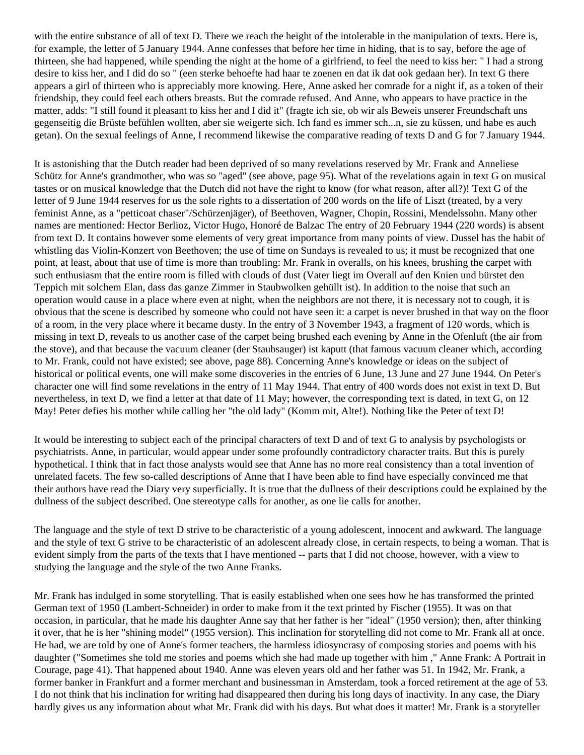with the entire substance of all of text D. There we reach the height of the intolerable in the manipulation of texts. Here is, for example, the letter of 5 January 1944. Anne confesses that before her time in hiding, that is to say, before the age of thirteen, she had happened, while spending the night at the home of a girlfriend, to feel the need to kiss her: " I had a strong desire to kiss her, and I did do so " (een sterke behoefte had haar te zoenen en dat ik dat ook gedaan her). In text G there appears a girl of thirteen who is appreciably more knowing. Here, Anne asked her comrade for a night if, as a token of their friendship, they could feel each others breasts. But the comrade refused. And Anne, who appears to have practice in the matter, adds: "I still found it pleasant to kiss her and I did it" (fragte ich sie, ob wir als Beweis unserer Freundschaft uns gegenseitig die Brüste befühlen wollten, aber sie weigerte sich. Ich fand es immer sch...n, sie zu küssen, und habe es auch getan). On the sexual feelings of Anne, I recommend likewise the comparative reading of texts D and G for 7 January 1944.

It is astonishing that the Dutch reader had been deprived of so many revelations reserved by Mr. Frank and Anneliese Schütz for Anne's grandmother, who was so "aged" (see above, page 95). What of the revelations again in text G on musical tastes or on musical knowledge that the Dutch did not have the right to know (for what reason, after all?)! Text G of the letter of 9 June 1944 reserves for us the sole rights to a dissertation of 200 words on the life of Liszt (treated, by a very feminist Anne, as a "petticoat chaser"/Schürzenjäger), of Beethoven, Wagner, Chopin, Rossini, Mendelssohn. Many other names are mentioned: Hector Berlioz, Victor Hugo, Honoré de Balzac The entry of 20 February 1944 (220 words) is absent from text D. It contains however some elements of very great importance from many points of view. Dussel has the habit of whistling das Violin-Konzert von Beethoven; the use of time on Sundays is revealed to us; it must be recognized that one point, at least, about that use of time is more than troubling: Mr. Frank in overalls, on his knees, brushing the carpet with such enthusiasm that the entire room is filled with clouds of dust (Vater liegt im Overall auf den Knien und bürstet den Teppich mit solchem Elan, dass das ganze Zimmer in Staubwolken gehüllt ist). In addition to the noise that such an operation would cause in a place where even at night, when the neighbors are not there, it is necessary not to cough, it is obvious that the scene is described by someone who could not have seen it: a carpet is never brushed in that way on the floor of a room, in the very place where it became dusty. In the entry of 3 November 1943, a fragment of 120 words, which is missing in text D, reveals to us another case of the carpet being brushed each evening by Anne in the Ofenluft (the air from the stove), and that because the vacuum cleaner (der Staubsauger) ist kaputt (that famous vacuum cleaner which, according to Mr. Frank, could not have existed; see above, page 88). Concerning Anne's knowledge or ideas on the subject of historical or political events, one will make some discoveries in the entries of 6 June, 13 June and 27 June 1944. On Peter's character one will find some revelations in the entry of 11 May 1944. That entry of 400 words does not exist in text D. But nevertheless, in text D, we find a letter at that date of 11 May; however, the corresponding text is dated, in text G, on 12 May! Peter defies his mother while calling her "the old lady" (Komm mit, Alte!). Nothing like the Peter of text D!

It would be interesting to subject each of the principal characters of text D and of text G to analysis by psychologists or psychiatrists. Anne, in particular, would appear under some profoundly contradictory character traits. But this is purely hypothetical. I think that in fact those analysts would see that Anne has no more real consistency than a total invention of unrelated facets. The few so-called descriptions of Anne that I have been able to find have especially convinced me that their authors have read the Diary very superficially. It is true that the dullness of their descriptions could be explained by the dullness of the subject described. One stereotype calls for another, as one lie calls for another.

The language and the style of text D strive to be characteristic of a young adolescent, innocent and awkward. The language and the style of text G strive to be characteristic of an adolescent already close, in certain respects, to being a woman. That is evident simply from the parts of the texts that I have mentioned -- parts that I did not choose, however, with a view to studying the language and the style of the two Anne Franks.

Mr. Frank has indulged in some storytelling. That is easily established when one sees how he has transformed the printed German text of 1950 (Lambert-Schneider) in order to make from it the text printed by Fischer (1955). It was on that occasion, in particular, that he made his daughter Anne say that her father is her "ideal" (1950 version); then, after thinking it over, that he is her "shining model" (1955 version). This inclination for storytelling did not come to Mr. Frank all at once. He had, we are told by one of Anne's former teachers, the harmless idiosyncrasy of composing stories and poems with his daughter ("Sometimes she told me stories and poems which she had made up together with him ," Anne Frank: A Portrait in Courage, page 41). That happened about 1940. Anne was eleven years old and her father was 51. In 1942, Mr. Frank, a former banker in Frankfurt and a former merchant and businessman in Amsterdam, took a forced retirement at the age of 53. I do not think that his inclination for writing had disappeared then during his long days of inactivity. In any case, the Diary hardly gives us any information about what Mr. Frank did with his days. But what does it matter! Mr. Frank is a storyteller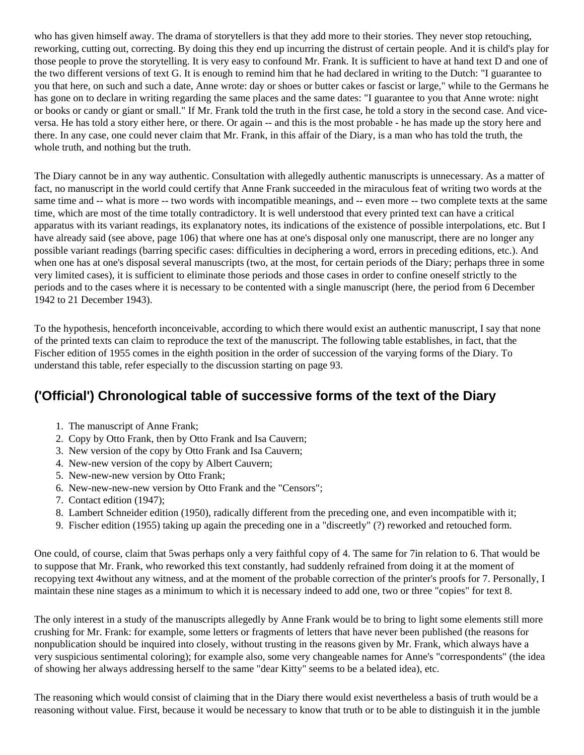who has given himself away. The drama of storytellers is that they add more to their stories. They never stop retouching, reworking, cutting out, correcting. By doing this they end up incurring the distrust of certain people. And it is child's play for those people to prove the storytelling. It is very easy to confound Mr. Frank. It is sufficient to have at hand text D and one of the two different versions of text G. It is enough to remind him that he had declared in writing to the Dutch: "I guarantee to you that here, on such and such a date, Anne wrote: day or shoes or butter cakes or fascist or large," while to the Germans he has gone on to declare in writing regarding the same places and the same dates: "I guarantee to you that Anne wrote: night or books or candy or giant or small." If Mr. Frank told the truth in the first case, he told a story in the second case. And viceversa. He has told a story either here, or there. Or again -- and this is the most probable - he has made up the story here and there. In any case, one could never claim that Mr. Frank, in this affair of the Diary, is a man who has told the truth, the whole truth, and nothing but the truth.

The Diary cannot be in any way authentic. Consultation with allegedly authentic manuscripts is unnecessary. As a matter of fact, no manuscript in the world could certify that Anne Frank succeeded in the miraculous feat of writing two words at the same time and -- what is more -- two words with incompatible meanings, and -- even more -- two complete texts at the same time, which are most of the time totally contradictory. It is well understood that every printed text can have a critical apparatus with its variant readings, its explanatory notes, its indications of the existence of possible interpolations, etc. But I have already said (see above, page 106) that where one has at one's disposal only one manuscript, there are no longer any possible variant readings (barring specific cases: difficulties in deciphering a word, errors in preceding editions, etc.). And when one has at one's disposal several manuscripts (two, at the most, for certain periods of the Diary; perhaps three in some very limited cases), it is sufficient to eliminate those periods and those cases in order to confine oneself strictly to the periods and to the cases where it is necessary to be contented with a single manuscript (here, the period from 6 December 1942 to 21 December 1943).

To the hypothesis, henceforth inconceivable, according to which there would exist an authentic manuscript, I say that none of the printed texts can claim to reproduce the text of the manuscript. The following table establishes, in fact, that the Fischer edition of 1955 comes in the eighth position in the order of succession of the varying forms of the Diary. To understand this table, refer especially to the discussion starting on page 93.

# **('Official') Chronological table of successive forms of the text of the Diary**

- 1. The manuscript of Anne Frank;
- 2. Copy by Otto Frank, then by Otto Frank and Isa Cauvern;
- 3. New version of the copy by Otto Frank and Isa Cauvern;
- 4. New-new version of the copy by Albert Cauvern;
- 5. New-new-new version by Otto Frank;
- 6. New-new-new-new version by Otto Frank and the "Censors";
- 7. Contact edition (1947);
- 8. Lambert Schneider edition (1950), radically different from the preceding one, and even incompatible with it;
- 9. Fischer edition (1955) taking up again the preceding one in a "discreetly" (?) reworked and retouched form.

One could, of course, claim that 5was perhaps only a very faithful copy of 4. The same for 7in relation to 6. That would be to suppose that Mr. Frank, who reworked this text constantly, had suddenly refrained from doing it at the moment of recopying text 4without any witness, and at the moment of the probable correction of the printer's proofs for 7. Personally, I maintain these nine stages as a minimum to which it is necessary indeed to add one, two or three "copies" for text 8.

The only interest in a study of the manuscripts allegedly by Anne Frank would be to bring to light some elements still more crushing for Mr. Frank: for example, some letters or fragments of letters that have never been published (the reasons for nonpublication should be inquired into closely, without trusting in the reasons given by Mr. Frank, which always have a very suspicious sentimental coloring); for example also, some very changeable names for Anne's "correspondents" (the idea of showing her always addressing herself to the same "dear Kitty" seems to be a belated idea), etc.

The reasoning which would consist of claiming that in the Diary there would exist nevertheless a basis of truth would be a reasoning without value. First, because it would be necessary to know that truth or to be able to distinguish it in the jumble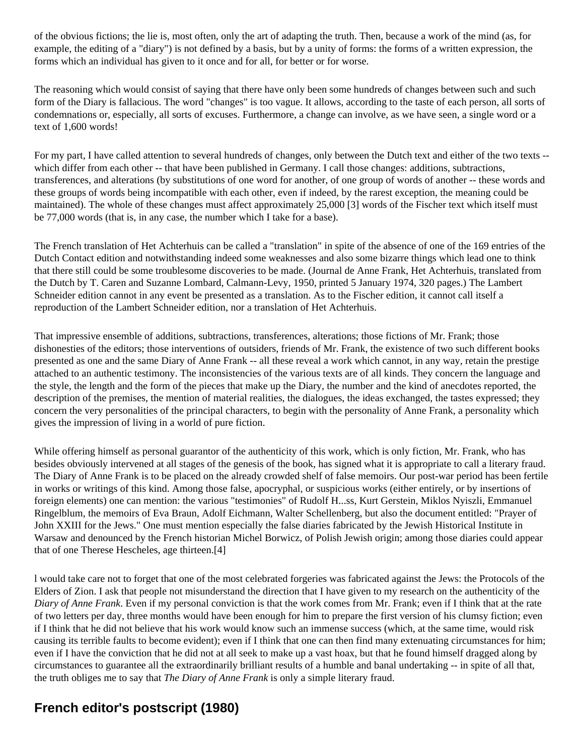of the obvious fictions; the lie is, most often, only the art of adapting the truth. Then, because a work of the mind (as, for example, the editing of a "diary") is not defined by a basis, but by a unity of forms: the forms of a written expression, the forms which an individual has given to it once and for all, for better or for worse.

The reasoning which would consist of saying that there have only been some hundreds of changes between such and such form of the Diary is fallacious. The word "changes" is too vague. It allows, according to the taste of each person, all sorts of condemnations or, especially, all sorts of excuses. Furthermore, a change can involve, as we have seen, a single word or a text of 1,600 words!

For my part, I have called attention to several hundreds of changes, only between the Dutch text and either of the two texts - which differ from each other -- that have been published in Germany. I call those changes: additions, subtractions, transferences, and alterations (by substitutions of one word for another, of one group of words of another -- these words and these groups of words being incompatible with each other, even if indeed, by the rarest exception, the meaning could be maintained). The whole of these changes must affect approximately 25,000 [3] words of the Fischer text which itself must be 77,000 words (that is, in any case, the number which I take for a base).

The French translation of Het Achterhuis can be called a "translation" in spite of the absence of one of the 169 entries of the Dutch Contact edition and notwithstanding indeed some weaknesses and also some bizarre things which lead one to think that there still could be some troublesome discoveries to be made. (Journal de Anne Frank, Het Achterhuis, translated from the Dutch by T. Caren and Suzanne Lombard, Calmann-Levy, 1950, printed 5 January 1974, 320 pages.) The Lambert Schneider edition cannot in any event be presented as a translation. As to the Fischer edition, it cannot call itself a reproduction of the Lambert Schneider edition, nor a translation of Het Achterhuis.

That impressive ensemble of additions, subtractions, transferences, alterations; those fictions of Mr. Frank; those dishonesties of the editors; those interventions of outsiders, friends of Mr. Frank, the existence of two such different books presented as one and the same Diary of Anne Frank -- all these reveal a work which cannot, in any way, retain the prestige attached to an authentic testimony. The inconsistencies of the various texts are of all kinds. They concern the language and the style, the length and the form of the pieces that make up the Diary, the number and the kind of anecdotes reported, the description of the premises, the mention of material realities, the dialogues, the ideas exchanged, the tastes expressed; they concern the very personalities of the principal characters, to begin with the personality of Anne Frank, a personality which gives the impression of living in a world of pure fiction.

While offering himself as personal guarantor of the authenticity of this work, which is only fiction, Mr. Frank, who has besides obviously intervened at all stages of the genesis of the book, has signed what it is appropriate to call a literary fraud. The Diary of Anne Frank is to be placed on the already crowded shelf of false memoirs. Our post-war period has been fertile in works or writings of this kind. Among those false, apocryphal, or suspicious works (either entirely, or by insertions of foreign elements) one can mention: the various "testimonies" of Rudolf H...ss, Kurt Gerstein, Miklos Nyiszli, Emmanuel Ringelblum, the memoirs of Eva Braun, Adolf Eichmann, Walter Schellenberg, but also the document entitled: "Prayer of John XXIII for the Jews." One must mention especially the false diaries fabricated by the Jewish Historical Institute in Warsaw and denounced by the French historian Michel Borwicz, of Polish Jewish origin; among those diaries could appear that of one Therese Hescheles, age thirteen.[4]

l would take care not to forget that one of the most celebrated forgeries was fabricated against the Jews: the Protocols of the Elders of Zion. I ask that people not misunderstand the direction that I have given to my research on the authenticity of the *Diary of Anne Frank*. Even if my personal conviction is that the work comes from Mr. Frank; even if I think that at the rate of two letters per day, three months would have been enough for him to prepare the first version of his clumsy fiction; even if I think that he did not believe that his work would know such an immense success (which, at the same time, would risk causing its terrible faults to become evident); even if I think that one can then find many extenuating circumstances for him; even if I have the conviction that he did not at all seek to make up a vast hoax, but that he found himself dragged along by circumstances to guarantee all the extraordinarily brilliant results of a humble and banal undertaking -- in spite of all that, the truth obliges me to say that *The Diary of Anne Frank* is only a simple literary fraud.

# **French editor's postscript (1980)**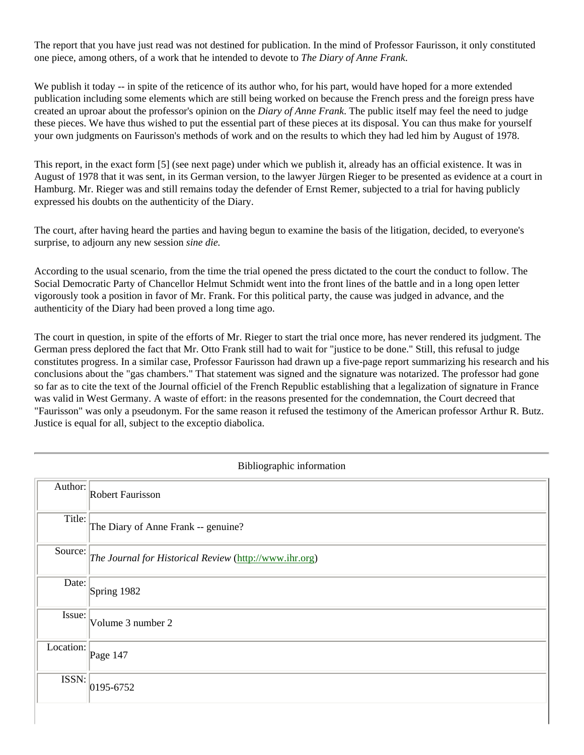The report that you have just read was not destined for publication. In the mind of Professor Faurisson, it only constituted one piece, among others, of a work that he intended to devote to *The Diary of Anne Frank*.

We publish it today -- in spite of the reticence of its author who, for his part, would have hoped for a more extended publication including some elements which are still being worked on because the French press and the foreign press have created an uproar about the professor's opinion on the *Diary of Anne Frank*. The public itself may feel the need to judge these pieces. We have thus wished to put the essential part of these pieces at its disposal. You can thus make for yourself your own judgments on Faurisson's methods of work and on the results to which they had led him by August of 1978.

This report, in the exact form [5] (see next page) under which we publish it, already has an official existence. It was in August of 1978 that it was sent, in its German version, to the lawyer Jürgen Rieger to be presented as evidence at a court in Hamburg. Mr. Rieger was and still remains today the defender of Ernst Remer, subjected to a trial for having publicly expressed his doubts on the authenticity of the Diary.

The court, after having heard the parties and having begun to examine the basis of the litigation, decided, to everyone's surprise, to adjourn any new session *sine die.*

According to the usual scenario, from the time the trial opened the press dictated to the court the conduct to follow. The Social Democratic Party of Chancellor Helmut Schmidt went into the front lines of the battle and in a long open letter vigorously took a position in favor of Mr. Frank. For this political party, the cause was judged in advance, and the authenticity of the Diary had been proved a long time ago.

The court in question, in spite of the efforts of Mr. Rieger to start the trial once more, has never rendered its judgment. The German press deplored the fact that Mr. Otto Frank still had to wait for "justice to be done." Still, this refusal to judge constitutes progress. In a similar case, Professor Faurisson had drawn up a five-page report summarizing his research and his conclusions about the "gas chambers." That statement was signed and the signature was notarized. The professor had gone so far as to cite the text of the Journal officiel of the French Republic establishing that a legalization of signature in France was valid in West Germany. A waste of effort: in the reasons presented for the condemnation, the Court decreed that "Faurisson" was only a pseudonym. For the same reason it refused the testimony of the American professor Arthur R. Butz. Justice is equal for all, subject to the exceptio diabolica.

| Bibliographic information |                                                        |
|---------------------------|--------------------------------------------------------|
| Author:                   | Robert Faurisson                                       |
| Title:                    | The Diary of Anne Frank -- genuine?                    |
| Source:                   | The Journal for Historical Review (http://www.ihr.org) |
| Date:                     | Spring 1982                                            |
| Issue:                    | Volume 3 number 2                                      |
| Location:                 | Page 147                                               |
| ISSN:                     | $ 0195 - 6752 $                                        |
|                           |                                                        |